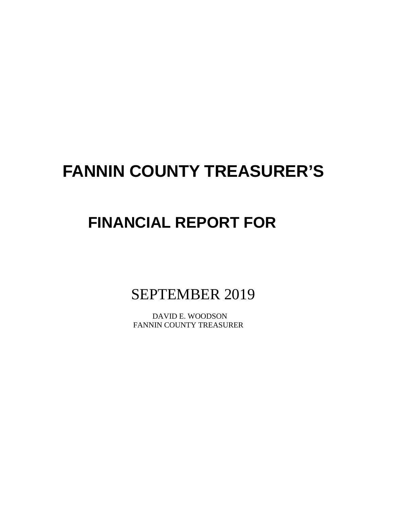# **FANNIN COUNTY TREASURER'S**

# **FINANCIAL REPORT FOR**

SEPTEMBER 2019

 DAVID E. WOODSON FANNIN COUNTY TREASURER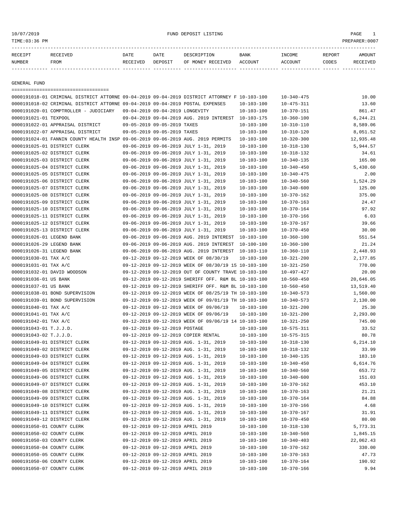# 10/07/2019 FUND DEPOSIT LISTING PAGE 1

| RECEIPT | <b>RECEIVED</b> | DATE     | DATE    | DESCRIPTION       | BANK    | <b>NCOME</b> | REPORT | AMOUNT          |
|---------|-----------------|----------|---------|-------------------|---------|--------------|--------|-----------------|
| NUMBER  | FROM            | RECEIVED | DEPOSIT | OF MONEY RECEIVED | ACCOUNT | ACCOUNT      | CODES  | <b>RECEIVED</b> |
|         |                 |          |         |                   |         |              |        |                 |

GENERAL FUND

|                            | =====================================                                                        |                                 |                                  |                                                      |                  |                                      |           |
|----------------------------|----------------------------------------------------------------------------------------------|---------------------------------|----------------------------------|------------------------------------------------------|------------------|--------------------------------------|-----------|
|                            | 0000191018-01 CRIMINAL DISTRICT ATTORNE 09-04-2019 09-04-2019 DISTRICT ATTORNEY F 10-103-100 |                                 |                                  |                                                      |                  | $10 - 340 - 475$                     | 10.00     |
|                            | 0000191018-02 CRIMINAL DISTRICT ATTORNE 09-04-2019 09-04-2019 POSTAL EXPENSES                |                                 |                                  |                                                      | $10 - 103 - 100$ | $10 - 475 - 311$                     | 13.60     |
|                            | 0000191020-01 COMPTROLLER - JUDICIARY                                                        | 09-04-2019 09-04-2019 LONGEVITY |                                  |                                                      | $10 - 103 - 100$ | $10 - 370 - 151$                     | 861.47    |
| 0000191021-01 TEXPOOL      |                                                                                              |                                 |                                  | 09-04-2019 09-04-2019 AUG. 2019 INTEREST 10-103-175  |                  | $10 - 360 - 100$                     | 6,244.21  |
|                            | 0000191022-01 APPRAISAL DISTRICT                                                             |                                 | 09-05-2019 09-05-2019 TAXES      |                                                      | $10 - 103 - 100$ | $10 - 310 - 110$                     | 8,589.06  |
|                            | 0000191022-07 APPRAISAL DISTRICT                                                             |                                 | 09-05-2019 09-05-2019 TAXES      |                                                      | $10 - 103 - 100$ | $10 - 310 - 120$                     | 8,051.52  |
|                            | 0000191024-01 FANNIN COUNTY HEALTH INSP 09-06-2019 09-06-2019 AUG. 2019 PERMITS              |                                 |                                  |                                                      | $10 - 103 - 100$ | $10 - 320 - 300$                     | 12,935.48 |
|                            | 0000191025-01 DISTRICT CLERK                                                                 |                                 |                                  | 09-06-2019 09-06-2019 JULY 1-31, 2019                | $10 - 103 - 100$ | $10 - 318 - 130$                     | 5,944.57  |
|                            | 0000191025-02 DISTRICT CLERK                                                                 |                                 |                                  | 09-06-2019 09-06-2019 JULY 1-31, 2019                | $10 - 103 - 100$ | $10 - 318 - 132$                     | 34.61     |
|                            | 0000191025-03 DISTRICT CLERK                                                                 |                                 |                                  | 09-06-2019 09-06-2019 JULY 1-31, 2019                | $10 - 103 - 100$ | $10 - 340 - 135$                     | 165.00    |
|                            | 0000191025-04 DISTRICT CLERK                                                                 |                                 |                                  | 09-06-2019 09-06-2019 JULY 1-31, 2019                | $10 - 103 - 100$ | $10 - 340 - 450$                     | 5,430.60  |
|                            | 0000191025-05 DISTRICT CLERK                                                                 |                                 |                                  | 09-06-2019 09-06-2019 JULY 1-31, 2019                | $10 - 103 - 100$ | $10 - 340 - 475$                     | 2.00      |
|                            | 0000191025-06 DISTRICT CLERK                                                                 |                                 |                                  | 09-06-2019 09-06-2019 JULY 1-31, 2019                | $10 - 103 - 100$ | $10 - 340 - 560$                     | 1,524.29  |
|                            | 0000191025-07 DISTRICT CLERK                                                                 |                                 |                                  | 09-06-2019 09-06-2019 JULY 1-31, 2019                | $10 - 103 - 100$ | $10 - 340 - 600$                     | 125.00    |
|                            | 0000191025-08 DISTRICT CLERK                                                                 |                                 |                                  | 09-06-2019 09-06-2019 JULY 1-31, 2019                | $10 - 103 - 100$ | $10 - 370 - 162$                     | 375.00    |
|                            | 0000191025-09 DISTRICT CLERK                                                                 |                                 |                                  | 09-06-2019 09-06-2019 JULY 1-31, 2019                | $10 - 103 - 100$ | $10 - 370 - 163$                     | 24.47     |
|                            | 0000191025-10 DISTRICT CLERK                                                                 |                                 |                                  | 09-06-2019 09-06-2019 JULY 1-31, 2019                | $10 - 103 - 100$ | $10 - 370 - 164$                     | 97.92     |
|                            | 0000191025-11 DISTRICT CLERK                                                                 |                                 |                                  | 09-06-2019 09-06-2019 JULY 1-31, 2019                | $10 - 103 - 100$ | $10 - 370 - 166$                     | 6.03      |
|                            | 0000191025-12 DISTRICT CLERK                                                                 |                                 |                                  | 09-06-2019 09-06-2019 JULY 1-31, 2019                | $10 - 103 - 100$ | $10 - 370 - 167$                     | 39.66     |
|                            | 0000191025-13 DISTRICT CLERK                                                                 |                                 |                                  | 09-06-2019 09-06-2019 JULY 1-31, 2019                | $10 - 103 - 100$ | $10 - 370 - 450$                     | 30.00     |
| 0000191026-01 LEGEND BANK  |                                                                                              |                                 |                                  | 09-06-2019 09-06-2019 AUG. 2019 INTEREST 10-103-100  |                  | $10 - 360 - 100$                     | 551.54    |
| 0000191026-29 LEGEND BANK  |                                                                                              |                                 |                                  | 09-06-2019 09-06-2019 AUG. 2019 INTEREST             | 10-100-100       | $10 - 360 - 100$                     | 21.24     |
| 0000191026-31 LEGEND BANK  |                                                                                              |                                 |                                  | 09-06-2019 09-06-2019 AUG. 2019 INTEREST 10-103-110  |                  | $10 - 360 - 110$                     | 2,448.93  |
| 0000191030-01 TAX A/C      |                                                                                              |                                 |                                  | 09-12-2019 09-12-2019 WEEK OF 08/30/19               | $10 - 103 - 100$ | $10 - 321 - 200$                     | 2,177.85  |
| 0000191031-01 TAX A/C      |                                                                                              |                                 |                                  | 09-12-2019 09-12-2019 WEEK OF 08/30/19 15 10-103-100 |                  | $10 - 321 - 250$                     | 770.00    |
|                            | 0000191032-01 DAVID WOODSON                                                                  |                                 |                                  | 09-12-2019 09-12-2019 OUT OF COUNTY TRAVE 10-103-100 |                  | 10-497-427                           | 20.00     |
| 0000191036-01 US BANK      |                                                                                              |                                 |                                  | 09-12-2019 09-12-2019 SHERIFF OFF. R&M BL 10-103-100 |                  |                                      | 20,646.05 |
| 0000191037-01 US BANK      |                                                                                              |                                 |                                  | 09-12-2019 09-12-2019 SHERIFF OFF. R&M BL 10-103-100 |                  | $10 - 560 - 450$<br>$10 - 560 - 450$ |           |
|                            |                                                                                              |                                 |                                  |                                                      |                  |                                      | 13,519.40 |
|                            | 0000191038-01 BOND SUPERVISION                                                               |                                 |                                  | 09-12-2019 09-12-2019 WEEK OF 08/25/19 TH 10-103-100 |                  | $10 - 340 - 573$                     | 1,560.00  |
|                            | 0000191039-01 BOND SUPERVISION                                                               |                                 |                                  | 09-12-2019 09-12-2019 WEEK OF 09/01/19 TH 10-103-100 |                  | $10 - 340 - 573$                     | 2,130.00  |
| 0000191040-01 TAX A/C      |                                                                                              |                                 |                                  | 09-12-2019 09-12-2019 WEEK OF 09/06/19               | $10 - 103 - 100$ | $10 - 321 - 200$                     | 25.30     |
| 0000191041-01 TAX A/C      |                                                                                              |                                 |                                  | 09-12-2019 09-12-2019 WEEK OF 09/06/19               | $10 - 103 - 100$ | $10 - 321 - 200$                     | 2,293.00  |
| 0000191042-01 TAX A/C      |                                                                                              |                                 |                                  | 09-12-2019 09-12-2019 WEEK OF 09/06/19 14 10-103-100 |                  | $10 - 321 - 250$                     | 745.00    |
| 0000191043-01 T.J.J.D.     |                                                                                              |                                 | 09-12-2019 09-12-2019 POSTAGE    |                                                      | $10 - 103 - 100$ | $10 - 575 - 311$                     | 33.52     |
| 0000191043-02 T.J.J.D.     |                                                                                              |                                 |                                  | 09-12-2019 09-12-2019 COPIER RENTAL                  | $10 - 103 - 100$ | $10 - 575 - 315$                     | 80.78     |
|                            | 0000191049-01 DISTRICT CLERK                                                                 |                                 |                                  | 09-12-2019 09-12-2019 AUG. 1-31, 2019                | $10 - 103 - 100$ | $10 - 318 - 130$                     | 6, 214.10 |
|                            | 0000191049-02 DISTRICT CLERK                                                                 |                                 |                                  | 09-12-2019 09-12-2019 AUG. 1-31, 2019                | $10 - 103 - 100$ | $10 - 318 - 132$                     | 33.99     |
|                            | 0000191049-03 DISTRICT CLERK                                                                 |                                 |                                  | 09-12-2019 09-12-2019 AUG. 1-31, 2019                | $10 - 103 - 100$ | $10 - 340 - 135$                     | 183.10    |
|                            | 0000191049-04 DISTRICT CLERK                                                                 |                                 |                                  | 09-12-2019 09-12-2019 AUG. 1-31, 2019                | $10 - 103 - 100$ | $10 - 340 - 450$                     | 6,614.76  |
|                            | 0000191049-05 DISTRICT CLERK                                                                 |                                 |                                  | 09-12-2019 09-12-2019 AUG. 1-31, 2019                | $10 - 103 - 100$ | $10 - 340 - 560$                     | 653.72    |
|                            | 0000191049-06 DISTRICT CLERK                                                                 |                                 |                                  | 09-12-2019 09-12-2019 AUG. 1-31, 2019                | $10 - 103 - 100$ | $10 - 340 - 600$                     | 151.03    |
|                            | 0000191049-07 DISTRICT CLERK                                                                 |                                 |                                  | 09-12-2019 09-12-2019 AUG. 1-31, 2019                | $10 - 103 - 100$ | $10 - 370 - 162$                     | 453.10    |
|                            | 0000191049-08 DISTRICT CLERK                                                                 |                                 |                                  | 09-12-2019 09-12-2019 AUG. 1-31, 2019                | 10-103-100       | $10 - 370 - 163$                     | 21.21     |
|                            | 0000191049-09 DISTRICT CLERK                                                                 |                                 |                                  | 09-12-2019 09-12-2019 AUG. 1-31, 2019                | $10 - 103 - 100$ | $10 - 370 - 164$                     | 84.88     |
|                            | 0000191049-10 DISTRICT CLERK                                                                 |                                 |                                  | 09-12-2019 09-12-2019 AUG. 1-31, 2019                | $10 - 103 - 100$ | $10 - 370 - 166$                     | 4.68      |
|                            | 0000191049-11 DISTRICT CLERK                                                                 |                                 |                                  | 09-12-2019 09-12-2019 AUG. 1-31, 2019                | $10 - 103 - 100$ | $10 - 370 - 167$                     | 31.91     |
|                            | 0000191049-12 DISTRICT CLERK                                                                 |                                 |                                  | 09-12-2019 09-12-2019 AUG. 1-31, 2019                | $10 - 103 - 100$ | $10 - 370 - 450$                     | 80.00     |
| 0000191050-01 COUNTY CLERK |                                                                                              |                                 | 09-12-2019 09-12-2019 APRIL 2019 |                                                      | $10 - 103 - 100$ | $10 - 318 - 130$                     | 5,773.31  |
| 0000191050-02 COUNTY CLERK |                                                                                              |                                 | 09-12-2019 09-12-2019 APRIL 2019 |                                                      | $10 - 103 - 100$ | $10 - 340 - 560$                     | 1,845.15  |
| 0000191050-03 COUNTY CLERK |                                                                                              |                                 | 09-12-2019 09-12-2019 APRIL 2019 |                                                      | $10 - 103 - 100$ | $10 - 340 - 403$                     | 22,062.43 |
| 0000191050-04 COUNTY CLERK |                                                                                              |                                 | 09-12-2019 09-12-2019 APRIL 2019 |                                                      | $10 - 103 - 100$ | $10 - 370 - 162$                     | 330.00    |
| 0000191050-05 COUNTY CLERK |                                                                                              |                                 | 09-12-2019 09-12-2019 APRIL 2019 |                                                      | $10 - 103 - 100$ | $10 - 370 - 163$                     | 47.73     |
| 0000191050-06 COUNTY CLERK |                                                                                              |                                 | 09-12-2019 09-12-2019 APRIL 2019 |                                                      | $10 - 103 - 100$ | $10 - 370 - 164$                     | 190.92    |
| 0000191050-07 COUNTY CLERK |                                                                                              |                                 | 09-12-2019 09-12-2019 APRIL 2019 |                                                      | $10 - 103 - 100$ | $10 - 370 - 166$                     | 9.94      |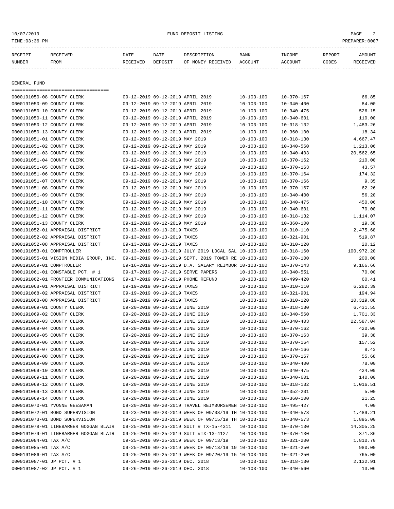| RECEIPT       |              | RECEIVED                           | DATE     | DATE                             | DESCRIPTION       | BANK             | INCOME           | REPORT | AMOUNT    |
|---------------|--------------|------------------------------------|----------|----------------------------------|-------------------|------------------|------------------|--------|-----------|
| <b>NUMBER</b> |              | FROM                               | RECEIVED | DEPOSIT                          | OF MONEY RECEIVED | ACCOUNT          | ACCOUNT          | CODES  | RECEIVED  |
|               |              |                                    |          |                                  |                   |                  |                  |        |           |
|               |              |                                    |          |                                  |                   |                  |                  |        |           |
|               | GENERAL FUND |                                    |          |                                  |                   |                  |                  |        |           |
|               |              | ================================== |          |                                  |                   |                  |                  |        |           |
|               |              | 0000191050-08 COUNTY CLERK         |          | 09-12-2019 09-12-2019 APRIL 2019 |                   | 10-103-100       | 10-370-167       |        | 66.85     |
|               |              | 0000191050-09 COUNTY CLERK         |          | 09-12-2019 09-12-2019 APRIL 2019 |                   | $10 - 103 - 100$ | $10 - 340 - 400$ |        | 84.00     |
|               |              | 0000191050-10 COUNTY CLERK         |          | 09-12-2019 09-12-2019 APRIL 2019 |                   | $10 - 103 - 100$ | $10 - 340 - 475$ |        | 526.15    |
|               |              | 0000191050-11 COUNTY CLERK         |          | 09-12-2019 09-12-2019 APRIL 2019 |                   | $10 - 103 - 100$ | $10 - 340 - 601$ |        | 110.00    |
|               |              | 0000191050-12 COUNTY CLERK         |          | 09-12-2019 09-12-2019 APRIL 2019 |                   | $10 - 103 - 100$ | $10 - 318 - 132$ |        | 1,483.26  |
|               |              | 0000191050-13 COUNTY CLERK         |          | 09-12-2019 09-12-2019 APRIL 2019 |                   | $10 - 103 - 100$ | $10 - 360 - 100$ |        | 18.34     |
|               |              | 0000191051-01 COUNTY CLERK         |          | 09-12-2019 09-12-2019 MAY 2019   |                   | $10 - 103 - 100$ | $10 - 318 - 130$ |        | 4,667.47  |
|               |              | 0000191051-02 COUNTY CLERK         |          | 09-12-2019 09-12-2019 MAY 2019   |                   | $10 - 103 - 100$ | $10 - 340 - 560$ |        | 1,213.06  |
|               |              | 0000191051-03 COUNTY CLERK         |          | 09-12-2019 09-12-2019 MAY 2019   |                   | $10 - 103 - 100$ | $10 - 340 - 403$ |        | 20,562.65 |
|               |              | 0000191051-04 COUNTY CLERK         |          | 09-12-2019 09-12-2019 MAY 2019   |                   | $10 - 103 - 100$ | 10-370-162       |        | 210.00    |
|               |              | 0000191051-05 COUNTY CLERK         |          | 09-12-2019 09-12-2019 MAY 2019   |                   | $10 - 103 - 100$ | $10 - 370 - 163$ |        | 43.57     |

| 0000191050-12 COUNTY CLERK                                                                  | 09-12-2019 09-12-2019 APRIL 2019                     | $10 - 103 - 100$ | $10 - 318 - 132$ | 1,483.26   |
|---------------------------------------------------------------------------------------------|------------------------------------------------------|------------------|------------------|------------|
| 0000191050-13 COUNTY CLERK                                                                  | 09-12-2019 09-12-2019 APRIL 2019                     | $10 - 103 - 100$ | $10 - 360 - 100$ | 18.34      |
| 0000191051-01 COUNTY CLERK                                                                  | 09-12-2019 09-12-2019 MAY 2019                       | $10 - 103 - 100$ | $10 - 318 - 130$ | 4,667.47   |
| 0000191051-02 COUNTY CLERK                                                                  | 09-12-2019 09-12-2019 MAY 2019                       | $10 - 103 - 100$ | $10 - 340 - 560$ | 1,213.06   |
| 0000191051-03 COUNTY CLERK                                                                  | 09-12-2019 09-12-2019 MAY 2019                       | $10 - 103 - 100$ | $10 - 340 - 403$ | 20,562.65  |
| 0000191051-04 COUNTY CLERK                                                                  | 09-12-2019 09-12-2019 MAY 2019                       | $10 - 103 - 100$ | $10 - 370 - 162$ | 210.00     |
| 0000191051-05 COUNTY CLERK                                                                  | 09-12-2019 09-12-2019 MAY 2019                       | $10 - 103 - 100$ | $10 - 370 - 163$ | 43.57      |
| 0000191051-06 COUNTY CLERK                                                                  | 09-12-2019 09-12-2019 MAY 2019                       | $10 - 103 - 100$ | $10 - 370 - 164$ | 174.32     |
| 0000191051-07 COUNTY CLERK                                                                  | 09-12-2019 09-12-2019 MAY 2019                       | $10 - 103 - 100$ | $10 - 370 - 166$ | 9.35       |
| 0000191051-08 COUNTY CLERK                                                                  | 09-12-2019 09-12-2019 MAY 2019                       | $10 - 103 - 100$ | $10 - 370 - 167$ | 62.26      |
| 0000191051-09 COUNTY CLERK                                                                  | 09-12-2019 09-12-2019 MAY 2019                       | $10 - 103 - 100$ | $10 - 340 - 400$ | 56.20      |
| 0000191051-10 COUNTY CLERK                                                                  | 09-12-2019 09-12-2019 MAY 2019                       | $10 - 103 - 100$ | $10 - 340 - 475$ | 450.06     |
| 0000191051-11 COUNTY CLERK                                                                  | 09-12-2019 09-12-2019 MAY 2019                       | $10 - 103 - 100$ | $10 - 340 - 601$ | 70.00      |
| 0000191051-12 COUNTY CLERK                                                                  | 09-12-2019 09-12-2019 MAY 2019                       | $10 - 103 - 100$ | $10 - 318 - 132$ | 1,114.07   |
| 0000191051-13 COUNTY CLERK                                                                  | 09-12-2019 09-12-2019 MAY 2019                       | $10 - 103 - 100$ | $10 - 360 - 100$ | 19.38      |
| 0000191052-01 APPRAISAL DISTRICT                                                            | 09-13-2019 09-13-2019 TAXES                          | $10 - 103 - 100$ | $10 - 310 - 110$ | 2,475.68   |
| 0000191052-02 APPRAISAL DISTRICT                                                            | 09-13-2019 09-13-2019 TAXES                          | $10 - 103 - 100$ | $10 - 321 - 901$ | 519.87     |
| 0000191052-08 APPRAISAL DISTRICT                                                            | 09-13-2019 09-13-2019 TAXES                          | $10 - 103 - 100$ | $10 - 310 - 120$ | 20.12      |
| 0000191053-01 COMPTROLLER                                                                   | 09-13-2019 09-13-2019 JULY 2019 LOCAL SAL 10-103-100 |                  | $10 - 318 - 160$ | 100,972.20 |
| 0000191055-01 VISION MEDIA GROUP, INC. 09-13-2019 09-13-2019 SEPT. 2019 TOWER RE 10-103-100 |                                                      |                  | $10 - 370 - 100$ | 200.00     |
| 0000191059-01 COMPTROLLER                                                                   | 09-16-2019 09-16-2019 D.A. SALARY REIMBUR 10-103-100 |                  | $10 - 370 - 143$ | 9,166.66   |
| 0000191061-01 CONSTABLE PCT. # 1                                                            | 09-17-2019 09-17-2019 SERVE PAPERS                   | $10 - 103 - 100$ | $10 - 340 - 551$ | 70.00      |
| 0000191062-01 FRONTIER COMMUNICATIONS                                                       | 09-17-2019 09-17-2019 PHONE REFUND                   | $10 - 103 - 100$ | $10 - 499 - 420$ | 60.41      |
| 0000191068-01 APPRAISAL DISTRICT                                                            | 09-19-2019 09-19-2019 TAXES                          | $10 - 103 - 100$ | $10 - 310 - 110$ | 6,282.39   |
| 0000191068-02 APPRAISAL DISTRICT                                                            | 09-19-2019 09-19-2019 TAXES                          | $10 - 103 - 100$ | $10 - 321 - 901$ | 194.94     |
| 0000191068-08 APPRAISAL DISTRICT                                                            | 09-19-2019 09-19-2019 TAXES                          | $10 - 103 - 100$ | $10 - 310 - 120$ | 10,319.88  |
| 0000191069-01 COUNTY CLERK                                                                  | 09-20-2019 09-20-2019 JUNE 2019                      | $10 - 103 - 100$ | $10 - 318 - 130$ | 6,431.55   |
| 0000191069-02 COUNTY CLERK                                                                  | 09-20-2019 09-20-2019 JUNE 2019                      | $10 - 103 - 100$ | $10 - 340 - 560$ | 1,701.33   |
| 0000191069-03 COUNTY CLERK                                                                  | 09-20-2019 09-20-2019 JUNE 2019                      | $10 - 103 - 100$ | $10 - 340 - 403$ | 22,587.04  |
| 0000191069-04 COUNTY CLERK                                                                  | 09-20-2019 09-20-2019 JUNE 2019                      | $10 - 103 - 100$ | $10 - 370 - 162$ | 420.00     |
| 0000191069-05 COUNTY CLERK                                                                  | 09-20-2019 09-20-2019 JUNE 2019                      | $10 - 103 - 100$ | $10 - 370 - 163$ | 39.38      |
| 0000191069-06 COUNTY CLERK                                                                  | 09-20-2019 09-20-2019 JUNE 2019                      | $10 - 103 - 100$ | $10 - 370 - 164$ | 157.52     |
| 0000191069-07 COUNTY CLERK                                                                  | 09-20-2019 09-20-2019 JUNE 2019                      | $10 - 103 - 100$ | $10 - 370 - 166$ | 8.43       |
| 0000191069-08 COUNTY CLERK                                                                  | 09-20-2019 09-20-2019 JUNE 2019                      | $10 - 103 - 100$ | $10 - 370 - 167$ | 55.68      |
| 0000191069-09 COUNTY CLERK                                                                  | 09-20-2019 09-20-2019 JUNE 2019                      | $10 - 103 - 100$ | $10 - 340 - 400$ | 78.00      |
| 0000191069-10 COUNTY CLERK                                                                  | 09-20-2019 09-20-2019 JUNE 2019                      | $10 - 103 - 100$ | $10 - 340 - 475$ | 424.09     |
| 0000191069-11 COUNTY CLERK                                                                  | 09-20-2019 09-20-2019 JUNE 2019                      | $10 - 103 - 100$ | $10 - 340 - 601$ | 140.00     |
| 0000191069-12 COUNTY CLERK                                                                  | 09-20-2019 09-20-2019 JUNE 2019                      | $10 - 103 - 100$ | $10 - 318 - 132$ | 1,016.51   |
| 0000191069-13 COUNTY CLERK                                                                  | 09-20-2019 09-20-2019 JUNE 2019                      | $10 - 103 - 100$ | $10 - 352 - 201$ | 5.00       |
| 0000191069-14 COUNTY CLERK                                                                  | 09-20-2019 09-20-2019 JUNE 2019                      | $10 - 103 - 100$ | $10 - 360 - 100$ | 21.25      |
| 0000191070-01 YVONNE GEESAMAN                                                               | 09-20-2019 09-20-2019 TRAVEL REIMBURSEMEN 10-103-100 |                  | $10 - 495 - 427$ | 4.00       |
| 0000191072-01 BOND SUPERVISION                                                              | 09-23-2019 09-23-2019 WEEK OF 09/08/19 TH 10-103-100 |                  | $10 - 340 - 573$ | 1,489.21   |
| 0000191073-01 BOND SUPERVISION                                                              | 09-23-2019 09-23-2019 WEEK OF 09/15/19 TH 10-103-100 |                  | $10 - 340 - 573$ | 1,895.00   |
| 0000191078-01 LINEBARGER GOGGAN BLAIR                                                       | 09-25-2019 09-25-2019 SUIT # TX-15-4311              | $10 - 103 - 100$ | $10 - 370 - 130$ | 14,305.25  |
| 0000191079-01 LINEBARGER GOGGAN BLAIR                                                       | 09-25-2019 09-25-2019 SUIT #TX-13-4127               | $10 - 103 - 100$ | $10 - 370 - 130$ | 371.86     |
| 0000191084-01 TAX A/C                                                                       | 09-25-2019 09-25-2019 WEEK OF 09/13/19               | 10-103-100       | $10 - 321 - 200$ | 1,810.70   |
| 0000191085-01 TAX A/C                                                                       | 09-25-2019 09-25-2019 WEEK OF 09/13/19 19 10-103-100 |                  | $10 - 321 - 250$ | 980.00     |
| 0000191086-01 TAX A/C                                                                       | 09-25-2019 09-25-2019 WEEK OF 09/20/19 15 10-103-100 |                  | $10 - 321 - 250$ | 765.00     |
| 0000191087-01 JP PCT. # 1                                                                   | 09-26-2019 09-26-2019 DEC. 2018                      | $10 - 103 - 100$ | $10 - 318 - 130$ | 2,132.91   |
| 0000191087-02 JP PCT. # 1                                                                   | 09-26-2019 09-26-2019 DEC. 2018                      | $10 - 103 - 100$ | $10 - 340 - 560$ | 13.06      |
|                                                                                             |                                                      |                  |                  |            |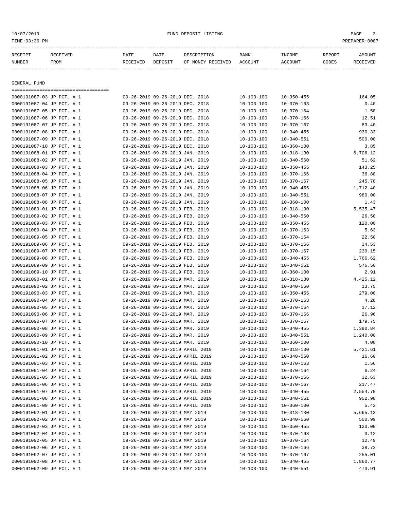| 10/07/2019<br>TIME:03:36 PM |                                       |          |                                             | FUND DEPOSIT LISTING      |                  |                  |        | PAGE<br>3<br>PREPARER: 0007 |
|-----------------------------|---------------------------------------|----------|---------------------------------------------|---------------------------|------------------|------------------|--------|-----------------------------|
| RECEIPT                     | RECEIVED                              | DATE     | DATE                                        | DESCRIPTION               | BANK             | INCOME           | REPORT | AMOUNT                      |
| NUMBER                      | FROM                                  | RECEIVED | DEPOSIT                                     | OF MONEY RECEIVED ACCOUNT |                  | ACCOUNT          | CODES  | RECEIVED                    |
| GENERAL FUND                | ===================================== |          |                                             |                           |                  |                  |        |                             |
|                             | 0000191087-03 JP PCT. # 1             |          | 09-26-2019 09-26-2019 DEC. 2018             |                           | $10 - 103 - 100$ | $10 - 350 - 455$ |        | 164.05                      |
|                             | 0000191087-04 JP PCT. # 1             |          | 09-26-2019 09-26-2019 DEC. 2018             |                           | $10 - 103 - 100$ | $10 - 370 - 163$ |        | 0.40                        |
|                             | 0000191087-05 JP PCT. # 1             |          | 09-26-2019 09-26-2019 DEC. 2018             |                           | $10 - 103 - 100$ | $10 - 370 - 164$ |        | 1.58                        |
|                             | 0000191087-06 JP PCT. # 1             |          | 09-26-2019 09-26-2019 DEC. 2018             |                           | $10 - 103 - 100$ | $10 - 370 - 166$ |        | 12.51                       |
|                             | 0000191087-07 JP PCT. # 1             |          | 09-26-2019 09-26-2019 DEC. 2018             |                           | $10 - 103 - 100$ | $10 - 370 - 167$ |        | 83.40                       |
|                             | 0000191087-08 JP PCT. # 1             |          | 09-26-2019 09-26-2019 DEC. 2018             |                           | $10 - 103 - 100$ | $10 - 340 - 455$ |        | 930.33                      |
|                             | 0000191087-09 JP PCT. # 1             |          | 09-26-2019 09-26-2019 DEC. 2018             |                           | $10 - 103 - 100$ | $10 - 340 - 551$ |        | 500.00                      |
|                             | 0000191087-10 JP PCT. # 1             |          | 09-26-2019 09-26-2019 DEC. 2018             |                           | $10 - 103 - 100$ | $10 - 360 - 100$ |        | 3.85                        |
|                             | 0000191088-01 JP PCT. # 1             |          | 09-26-2019 09-26-2019 JAN. 2019             |                           | $10 - 103 - 100$ | $10 - 318 - 130$ |        | 6,706.12                    |
|                             | 0000191088-02 JP PCT. # 1             |          | 09-26-2019 09-26-2019 JAN. 2019             |                           | $10 - 103 - 100$ | $10 - 340 - 560$ |        | 51.62                       |
|                             | 0000191088-03 JP PCT. # 1             |          | 09-26-2019 09-26-2019 JAN. 2019             |                           | $10 - 103 - 100$ | $10 - 350 - 455$ |        | 143.25                      |
|                             | 0000191088-04 JP PCT. # 1             |          | 09-26-2019 09-26-2019 JAN. 2019             |                           | $10 - 103 - 100$ | $10 - 370 - 166$ |        | 36.88                       |
|                             | 0000191088-05 JP PCT. # 1             |          | 09-26-2019 09-26-2019 JAN. 2019             |                           | $10 - 103 - 100$ | $10 - 370 - 167$ |        | 245.78                      |
|                             | 0000191088-06 JP PCT. # 1             |          | 09-26-2019 09-26-2019 JAN. 2019             |                           | $10 - 103 - 100$ | $10 - 340 - 455$ |        | 1,712.40                    |
|                             | 0000191088-07 JP PCT. # 1             |          | 09-26-2019 09-26-2019 JAN. 2019             |                           | $10 - 103 - 100$ | $10 - 340 - 551$ |        | 980.00                      |
|                             | 0000191088-08 JP PCT. # 1             |          | 09-26-2019 09-26-2019 JAN. 2019             |                           | $10 - 103 - 100$ | $10 - 360 - 100$ |        | 1.43                        |
|                             | 0000191089-01 JP PCT. # 1             |          | 09-26-2019 09-26-2019 FEB. 2019             |                           | $10 - 103 - 100$ | $10 - 318 - 130$ |        | 5,535.47                    |
|                             | 0000191089-02 JP PCT. # 1             |          | 09-26-2019 09-26-2019 FEB. 2019             |                           | $10 - 103 - 100$ | $10 - 340 - 560$ |        | 26.50                       |
|                             | 0000191089-03 JP PCT. # 1             |          | 09-26-2019 09-26-2019 FEB. 2019             |                           | $10 - 103 - 100$ | $10 - 350 - 455$ |        | 120.00                      |
|                             | 0000191089-04 JP PCT. # 1             |          | 09-26-2019 09-26-2019 FEB. 2019             |                           | $10 - 103 - 100$ | $10 - 370 - 163$ |        | 5.63                        |
|                             | 0000191089-05 JP PCT. # 1             |          | 09-26-2019 09-26-2019 FEB. 2019             |                           | $10 - 103 - 100$ | $10 - 370 - 164$ |        | 22.50                       |
|                             | 0000191089-06 JP PCT. # 1             |          | 09-26-2019 09-26-2019 FEB. 2019             |                           | $10 - 103 - 100$ | $10 - 370 - 166$ |        | 34.53                       |
|                             | 0000191089-07 JP PCT. # 1             |          | 09-26-2019 09-26-2019 FEB. 2019             |                           | $10 - 103 - 100$ | $10 - 370 - 167$ |        | 230.15                      |
|                             | 0000191089-08 JP PCT. # 1             |          | 09-26-2019 09-26-2019 FEB. 2019             |                           | $10 - 103 - 100$ | $10 - 340 - 455$ |        | 1,766.62                    |
|                             | 0000191089-09 JP PCT. # 1             |          | 09-26-2019 09-26-2019 FEB. 2019             |                           | $10 - 103 - 100$ | $10 - 340 - 551$ |        | 576.50                      |
|                             | 0000191089-10 JP PCT. # 1             |          | 09-26-2019 09-26-2019 FEB. 2019             |                           | $10 - 103 - 100$ | $10 - 360 - 100$ |        | 2.91                        |
|                             | 0000191090-01 JP PCT. # 1             |          | 09-26-2019 09-26-2019 MAR. 2019             |                           | $10 - 103 - 100$ | 10-318-130       |        | 4,425.12                    |
|                             | 0000191090-02 JP PCT. # 1             |          | 09-26-2019 09-26-2019 MAR. 2019             |                           | $10 - 103 - 100$ | $10 - 340 - 560$ |        | 13.75                       |
|                             | 0000191090-03 JP PCT. # 1             |          | 09-26-2019 09-26-2019 MAR. 2019             |                           | $10 - 103 - 100$ | $10 - 350 - 455$ |        | 279.00                      |
|                             | $0.000101000 - 0.4$ TD $DCD = 1$      |          | $0.9 - 26 - 2019 - 0.9 - 26 - 2019 - 0.019$ |                           | $10 - 102 - 100$ | $10 - 270 - 162$ |        | $\Lambda$ 2.9               |

| 0000191089-07 JP PCT. # 1 | 09-26-2019 09-26-2019 FEB. 2019  | $10 - 103 - 100$ | $10 - 3.10 - 10.1$ | 230.15   |
|---------------------------|----------------------------------|------------------|--------------------|----------|
| 0000191089-08 JP PCT. # 1 | 09-26-2019 09-26-2019 FEB. 2019  | $10 - 103 - 100$ | $10 - 340 - 455$   | 1,766.62 |
| 0000191089-09 JP PCT. # 1 | 09-26-2019 09-26-2019 FEB. 2019  | $10 - 103 - 100$ | $10 - 340 - 551$   | 576.50   |
| 0000191089-10 JP PCT. # 1 | 09-26-2019 09-26-2019 FEB. 2019  | $10 - 103 - 100$ | $10 - 360 - 100$   | 2.91     |
| 0000191090-01 JP PCT. # 1 | 09-26-2019 09-26-2019 MAR. 2019  | $10 - 103 - 100$ | $10 - 318 - 130$   | 4,425.12 |
| 0000191090-02 JP PCT. # 1 | 09-26-2019 09-26-2019 MAR. 2019  | $10 - 103 - 100$ | $10 - 340 - 560$   | 13.75    |
| 0000191090-03 JP PCT. # 1 | 09-26-2019 09-26-2019 MAR. 2019  | $10 - 103 - 100$ | $10 - 350 - 455$   | 279.00   |
| 0000191090-04 JP PCT. # 1 | 09-26-2019 09-26-2019 MAR. 2019  | $10 - 103 - 100$ | 10-370-163         | 4.28     |
| 0000191090-05 JP PCT. # 1 | 09-26-2019 09-26-2019 MAR. 2019  | $10 - 103 - 100$ | $10 - 370 - 164$   | 17.12    |
| 0000191090-06 JP PCT. # 1 | 09-26-2019 09-26-2019 MAR. 2019  | $10 - 103 - 100$ | $10 - 370 - 166$   | 26.96    |
| 0000191090-07 JP PCT. # 1 | 09-26-2019 09-26-2019 MAR. 2019  | $10 - 103 - 100$ | $10 - 370 - 167$   | 179.75   |
| 0000191090-08 JP PCT. # 1 | 09-26-2019 09-26-2019 MAR. 2019  | $10 - 103 - 100$ | $10 - 340 - 455$   | 1,390.84 |
| 0000191090-09 JP PCT. # 1 | 09-26-2019 09-26-2019 MAR. 2019  | $10 - 103 - 100$ | $10 - 340 - 551$   | 1,240.00 |
| 0000191090-10 JP PCT. # 1 | 09-26-2019 09-26-2019 MAR. 2019  | $10 - 103 - 100$ | $10 - 360 - 100$   | 4.08     |
| 0000191091-01 JP PCT. # 1 | 09-26-2019 09-26-2019 APRIL 2019 | $10 - 103 - 100$ | 10-318-130         | 5,421.61 |
| 0000191091-02 JP PCT. # 1 | 09-26-2019 09-26-2019 APRIL 2019 | $10 - 103 - 100$ | $10 - 340 - 560$   | 16.60    |
| 0000191091-03 JP PCT. # 1 | 09-26-2019 09-26-2019 APRIL 2019 | $10 - 103 - 100$ | $10 - 370 - 163$   | 1.56     |
| 0000191091-04 JP PCT. # 1 | 09-26-2019 09-26-2019 APRIL 2019 | $10 - 103 - 100$ | $10 - 370 - 164$   | 6.24     |
| 0000191091-05 JP PCT. # 1 | 09-26-2019 09-26-2019 APRIL 2019 | $10 - 103 - 100$ | $10 - 370 - 166$   | 32.63    |
| 0000191091-06 JP PCT. # 1 | 09-26-2019 09-26-2019 APRIL 2019 | $10 - 103 - 100$ | $10 - 370 - 167$   | 217.47   |
| 0000191091-07 JP PCT. # 1 | 09-26-2019 09-26-2019 APRIL 2019 | $10 - 103 - 100$ | $10 - 340 - 455$   | 2,554.70 |
| 0000191091-08 JP PCT. # 1 | 09-26-2019 09-26-2019 APRIL 2019 | $10 - 103 - 100$ | $10 - 340 - 551$   | 952.98   |
| 0000191091-09 JP PCT. # 1 | 09-26-2019 09-26-2019 APRIL 2019 | $10 - 103 - 100$ | $10 - 360 - 100$   | 5.42     |
| 0000191092-01 JP PCT. # 1 | 09-26-2019 09-26-2019 MAY 2019   | $10 - 103 - 100$ | $10 - 318 - 130$   | 5,665.13 |
| 0000191092-02 JP PCT. # 1 | 09-26-2019 09-26-2019 MAY 2019   | $10 - 103 - 100$ | $10 - 340 - 560$   | 500.99   |
| 0000191092-03 JP PCT. # 1 | 09-26-2019 09-26-2019 MAY 2019   | $10 - 103 - 100$ | $10 - 350 - 455$   | 120.00   |
| 0000191092-04 JP PCT. # 1 | 09-26-2019 09-26-2019 MAY 2019   | $10 - 103 - 100$ | $10 - 370 - 163$   | 3.12     |
| 0000191092-05 JP PCT. # 1 | 09-26-2019 09-26-2019 MAY 2019   | $10 - 103 - 100$ | $10 - 370 - 164$   | 12.49    |
| 0000191092-06 JP PCT. # 1 | 09-26-2019 09-26-2019 MAY 2019   | $10 - 103 - 100$ | 10-370-166         | 38.73    |
| 0000191092-07 JP PCT. # 1 | 09-26-2019 09-26-2019 MAY 2019   | $10 - 103 - 100$ | 10-370-167         | 255.01   |
| 0000191092-08 JP PCT. # 1 | 09-26-2019 09-26-2019 MAY 2019   | $10 - 103 - 100$ | $10 - 340 - 455$   | 1,860.77 |
| 0000191092-09 JP PCT. # 1 | 09-26-2019 09-26-2019 MAY 2019   | $10 - 103 - 100$ | 10-340-551         | 473.91   |
|                           |                                  |                  |                    |          |
|                           |                                  |                  |                    |          |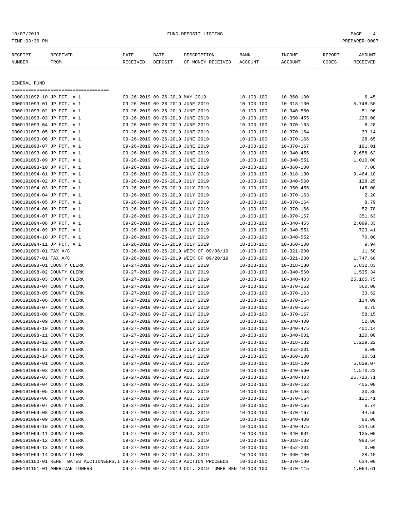# ${\rm FUND\ DEPOST\ LISTING} \begin{minipage}{10.2\linewidth} \vspace{0.1in} \vspace{0.1in} \vspace{0.1in} \vspace{0.1in} \vspace{0.1in} \vspace{0.1in} \vspace{0.1in} \vspace{0.1in} \vspace{0.1in} \vspace{0.1in} \vspace{0.1in} \vspace{0.1in} \vspace{0.1in} \vspace{0.1in} \vspace{0.1in} \vspace{0.1in} \vspace{0.1in} \vspace{0.1in} \vspace{0.1in} \vspace{0.1in} \vspace{0.1in} \vspace{0.$

| RECEIPT      | RECEIVED | <b>DATE</b> | DATE    | DESCRIPTION       | <b>BANK</b> | INCOME  | REPORT | <b>AMOUNT</b> |  |  |  |
|--------------|----------|-------------|---------|-------------------|-------------|---------|--------|---------------|--|--|--|
| NUMBER       | FROM     | RECEIVED    | DEPOSIT | OF MONEY RECEIVED | ACCOUNT     | ACCOUNT | CODES  | RECEIVED      |  |  |  |
|              |          |             |         |                   |             |         |        |               |  |  |  |
|              |          |             |         |                   |             |         |        |               |  |  |  |
| GENERAL FUND |          |             |         |                   |             |         |        |               |  |  |  |
|              |          |             |         |                   |             |         |        |               |  |  |  |

| 0000191092-10 JP PCT. # 1                                                       |                                 | 09-26-2019 09-26-2019 MAY 2019  |                                                      | $10 - 103 - 100$ | $10 - 360 - 100$ | 6.45        |
|---------------------------------------------------------------------------------|---------------------------------|---------------------------------|------------------------------------------------------|------------------|------------------|-------------|
| 0000191093-01 JP PCT. # 1                                                       | 09-26-2019 09-26-2019 JUNE 2019 |                                 |                                                      | $10 - 103 - 100$ | $10 - 318 - 130$ | 5,748.50    |
| 0000191093-02 JP PCT. # 1                                                       | 09-26-2019 09-26-2019 JUNE 2019 |                                 |                                                      | $10 - 103 - 100$ | $10 - 340 - 560$ | 51.96       |
| 0000191093-03 JP PCT. # 1                                                       | 09-26-2019 09-26-2019 JUNE 2019 |                                 |                                                      | $10 - 103 - 100$ | $10 - 350 - 455$ | 220.00      |
| 0000191093-04 JP PCT. # 1                                                       | 09-26-2019 09-26-2019 JUNE 2019 |                                 |                                                      | $10 - 103 - 100$ | $10 - 370 - 163$ | 8.28        |
| 0000191093-05 JP PCT. # 1                                                       | 09-26-2019 09-26-2019 JUNE 2019 |                                 |                                                      | $10 - 103 - 100$ | $10 - 370 - 164$ | 33.14       |
| 0000191093-06 JP PCT. # 1                                                       | 09-26-2019 09-26-2019 JUNE 2019 |                                 |                                                      | $10 - 103 - 100$ | $10 - 370 - 166$ | 28.65       |
| 0000191093-07 JP PCT. # 1                                                       | 09-26-2019 09-26-2019 JUNE 2019 |                                 |                                                      | $10 - 103 - 100$ | $10 - 370 - 167$ | 191.01      |
| 0000191093-08 JP PCT. # 1                                                       | 09-26-2019 09-26-2019 JUNE 2019 |                                 |                                                      | $10 - 103 - 100$ | $10 - 340 - 455$ | 2,658.62    |
| 0000191093-09 JP PCT. # 1                                                       | 09-26-2019 09-26-2019 JUNE 2019 |                                 |                                                      | $10 - 103 - 100$ | $10 - 340 - 551$ | 1,010.00    |
| 0000191093-10 JP PCT. # 1                                                       |                                 | 09-26-2019 09-26-2019 JUNE 2019 |                                                      | $10 - 103 - 100$ | $10 - 360 - 100$ | 7.08        |
| 0000191094-01 JP PCT. # 1                                                       | 09-26-2019 09-26-2019 JULY 2019 |                                 |                                                      | $10 - 103 - 100$ | $10 - 318 - 130$ | 9,464.10    |
| 0000191094-02 JP PCT. # 1                                                       | 09-26-2019 09-26-2019 JULY 2019 |                                 |                                                      | $10 - 103 - 100$ | $10 - 340 - 560$ | 128.25      |
| 0000191094-03 JP PCT. # 1                                                       | 09-26-2019 09-26-2019 JULY 2019 |                                 |                                                      | $10 - 103 - 100$ | $10 - 350 - 455$ | 145.00      |
| 0000191094-04 JP PCT. # 1                                                       | 09-26-2019 09-26-2019 JULY 2019 |                                 |                                                      | $10 - 103 - 100$ | $10 - 370 - 163$ | 2.20        |
| 0000191094-05 JP PCT. # 1                                                       | 09-26-2019 09-26-2019 JULY 2019 |                                 |                                                      | $10 - 103 - 100$ | $10 - 370 - 164$ | 8.79        |
| 0000191094-06 JP PCT. # 1                                                       | 09-26-2019 09-26-2019 JULY 2019 |                                 |                                                      | $10 - 103 - 100$ | $10 - 370 - 166$ | 52.78       |
| 0000191094-07 JP PCT. # 1                                                       | 09-26-2019 09-26-2019 JULY 2019 |                                 |                                                      | $10 - 103 - 100$ | $10 - 370 - 167$ | 351.63      |
|                                                                                 |                                 |                                 |                                                      |                  |                  |             |
| 0000191094-08 JP PCT. # 1                                                       | 09-26-2019 09-26-2019 JULY 2019 |                                 |                                                      | $10 - 103 - 100$ | $10 - 340 - 455$ | 2,099.33    |
| 0000191094-09 JP PCT. # 1                                                       | 09-26-2019 09-26-2019 JULY 2019 |                                 |                                                      | $10 - 103 - 100$ | $10 - 340 - 551$ | 723.41      |
| 0000191094-10 JP PCT. # 1                                                       | 09-26-2019 09-26-2019 JULY 2019 |                                 |                                                      | $10 - 103 - 100$ | $10 - 340 - 552$ | 70.00       |
| 0000191094-11 JP PCT. # 1                                                       | 09-26-2019 09-26-2019 JULY 2019 |                                 |                                                      | $10 - 103 - 100$ | $10 - 360 - 100$ | 9.94        |
| 0000191096-01 TAX A/C                                                           |                                 |                                 | 09-26-2019 09-26-2019 WEEK OF 09/06/19               | $10 - 103 - 100$ | $10 - 321 - 200$ | 11.50       |
| 0000191097-01 TAX A/C                                                           |                                 |                                 | 09-26-2019 09-26-2019 WEEK OF 09/20/19               | $10 - 103 - 100$ | $10 - 321 - 200$ | 1,747.60    |
| 0000191098-01 COUNTY CLERK                                                      | 09-27-2019 09-27-2019 JULY 2019 |                                 |                                                      | $10 - 103 - 100$ | $10 - 318 - 130$ | 5,832.83    |
| 0000191098-02 COUNTY CLERK                                                      |                                 | 09-27-2019 09-27-2019 JULY 2019 |                                                      | $10 - 103 - 100$ | $10 - 340 - 560$ | 1,535.34    |
| 0000191098-03 COUNTY CLERK                                                      |                                 | 09-27-2019 09-27-2019 JULY 2019 |                                                      | $10 - 103 - 100$ | $10 - 340 - 403$ | 25, 165. 75 |
| 0000191098-04 COUNTY CLERK                                                      |                                 | 09-27-2019 09-27-2019 JULY 2019 |                                                      | $10 - 103 - 100$ | $10 - 370 - 162$ | 360.00      |
| 0000191098-05 COUNTY CLERK                                                      |                                 | 09-27-2019 09-27-2019 JULY 2019 |                                                      | $10 - 103 - 100$ | $10 - 370 - 163$ | 33.52       |
| 0000191098-06 COUNTY CLERK                                                      |                                 | 09-27-2019 09-27-2019 JULY 2019 |                                                      | $10 - 103 - 100$ | $10 - 370 - 164$ | 134.09      |
| 0000191098-07 COUNTY CLERK                                                      | 09-27-2019 09-27-2019 JULY 2019 |                                 |                                                      | $10 - 103 - 100$ | $10 - 370 - 166$ | 8.75        |
| 0000191098-08 COUNTY CLERK                                                      | 09-27-2019 09-27-2019 JULY 2019 |                                 |                                                      | $10 - 103 - 100$ | $10 - 370 - 167$ | 58.15       |
| 0000191098-09 COUNTY CLERK                                                      |                                 | 09-27-2019 09-27-2019 JULY 2019 |                                                      | $10 - 103 - 100$ | $10 - 340 - 400$ | 52.00       |
| 0000191098-10 COUNTY CLERK                                                      |                                 | 09-27-2019 09-27-2019 JULY 2019 |                                                      | $10 - 103 - 100$ | $10 - 340 - 475$ | 401.14      |
| 0000191098-11 COUNTY CLERK                                                      | 09-27-2019 09-27-2019 JULY 2019 |                                 |                                                      | $10 - 103 - 100$ | $10 - 340 - 601$ | 120.00      |
| 0000191098-12 COUNTY CLERK                                                      | 09-27-2019 09-27-2019 JULY 2019 |                                 |                                                      | $10 - 103 - 100$ | $10 - 318 - 132$ | 1,229.22    |
| 0000191098-13 COUNTY CLERK                                                      |                                 | 09-27-2019 09-27-2019 JULY 2019 |                                                      | $10 - 103 - 100$ | $10 - 352 - 201$ | 6.00        |
| 0000191098-14 COUNTY CLERK                                                      | 09-27-2019 09-27-2019 JULY 2019 |                                 |                                                      | $10 - 103 - 100$ | $10 - 360 - 100$ | 30.51       |
| 0000191099-01 COUNTY CLERK                                                      | 09-27-2019 09-27-2019 AUG. 2019 |                                 |                                                      | $10 - 103 - 100$ | $10 - 318 - 130$ | 5,829.07    |
| 0000191099-02 COUNTY CLERK                                                      | 09-27-2019 09-27-2019 AUG. 2019 |                                 |                                                      | $10 - 103 - 100$ | 10-340-560       | 1,570.22    |
| 0000191099-03 COUNTY CLERK                                                      |                                 | 09-27-2019 09-27-2019 AUG. 2019 |                                                      | $10 - 103 - 100$ | $10 - 340 - 403$ | 26,713.71   |
| 0000191099-04 COUNTY CLERK                                                      |                                 | 09-27-2019 09-27-2019 AUG. 2019 |                                                      | $10 - 103 - 100$ | $10 - 370 - 162$ | 405.00      |
| 0000191099-05 COUNTY CLERK                                                      |                                 | 09-27-2019 09-27-2019 AUG. 2019 |                                                      | $10 - 103 - 100$ | $10 - 370 - 163$ | 30.35       |
| 0000191099-06 COUNTY CLERK                                                      | 09-27-2019 09-27-2019 AUG. 2019 |                                 |                                                      | $10 - 103 - 100$ | $10 - 370 - 164$ | 121.41      |
| 0000191099-07 COUNTY CLERK                                                      | 09-27-2019 09-27-2019 AUG. 2019 |                                 |                                                      | $10 - 103 - 100$ | $10 - 370 - 166$ | 6.74        |
| 0000191099-08 COUNTY CLERK                                                      | 09-27-2019 09-27-2019 AUG. 2019 |                                 |                                                      | $10 - 103 - 100$ | $10 - 370 - 167$ | 44.55       |
| 0000191099-09 COUNTY CLERK                                                      |                                 | 09-27-2019 09-27-2019 AUG. 2019 |                                                      | $10 - 103 - 100$ | $10 - 340 - 400$ | 80.00       |
| 0000191099-10 COUNTY CLERK                                                      |                                 | 09-27-2019 09-27-2019 AUG. 2019 |                                                      | $10 - 103 - 100$ | $10 - 340 - 475$ | 314.56      |
| 0000191099-11 COUNTY CLERK                                                      |                                 | 09-27-2019 09-27-2019 AUG. 2019 |                                                      | $10 - 103 - 100$ | $10 - 340 - 601$ | 135.00      |
| 0000191099-12 COUNTY CLERK                                                      | 09-27-2019 09-27-2019 AUG. 2019 |                                 |                                                      | $10 - 103 - 100$ | $10 - 318 - 132$ | 983.64      |
| 0000191099-13 COUNTY CLERK                                                      | 09-27-2019 09-27-2019 AUG. 2019 |                                 |                                                      | $10 - 103 - 100$ | $10 - 352 - 201$ | 3.00        |
| 0000191099-14 COUNTY CLERK                                                      | 09-27-2019 09-27-2019 AUG. 2019 |                                 |                                                      | $10 - 103 - 100$ | $10 - 360 - 100$ | 28.10       |
| 0000191100-01 RENE' BATES AUCTIONEERS, I 09-27-2019 09-27-2019 AUCTION PROCEEDS |                                 |                                 |                                                      | $10 - 103 - 100$ | $10 - 370 - 130$ | 634.00      |
| 0000191101-01 AMERICAN TOWERS                                                   |                                 |                                 | 09-27-2019 09-27-2019 OCT. 2019 TOWER REN 10-103-100 |                  | $10 - 370 - 115$ | 1,064.61    |
|                                                                                 |                                 |                                 |                                                      |                  |                  |             |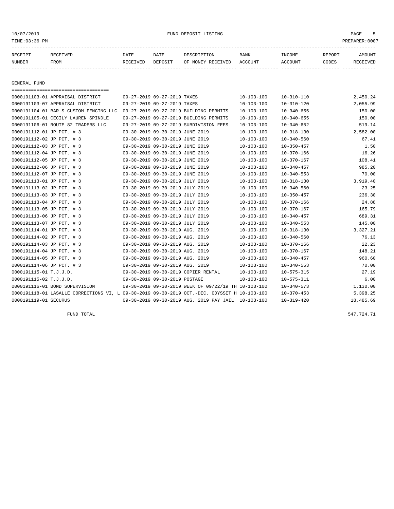10/07/2019 FUND DEPOSIT LISTING PAGE 5

| RECEIPT | <b>RECEIVED</b> | DATE     | DATE    | DESCRIPTION       | <b>BANK</b> | INCOME  | REPORT | AMOUNT   |
|---------|-----------------|----------|---------|-------------------|-------------|---------|--------|----------|
| NUMBER  | FROM            | RECEIVED | DEPOSIT | OF MONEY RECEIVED | ACCOUNT     | ACCOUNT | CODES  | RECEIVED |
|         |                 |          |         |                   |             |         |        |          |

GENERAL FUND

| -------------------------------------                                                        |                                 |                                 |                                                      |                  |                  |           |
|----------------------------------------------------------------------------------------------|---------------------------------|---------------------------------|------------------------------------------------------|------------------|------------------|-----------|
| 0000191103-01 APPRAISAL DISTRICT                                                             |                                 | 09-27-2019 09-27-2019 TAXES     |                                                      | $10 - 103 - 100$ | $10 - 310 - 110$ | 2,450.24  |
| 0000191103-07 APPRAISAL DISTRICT                                                             |                                 | 09-27-2019 09-27-2019 TAXES     |                                                      | 10-103-100       | $10 - 310 - 120$ | 2,055.99  |
| 0000191104-01 BAR S CUSTOM FENCING LLC                                                       |                                 |                                 | 09-27-2019 09-27-2019 BUILDING PERMITS               | $10 - 103 - 100$ | $10 - 340 - 655$ | 150.00    |
| 0000191105-01 CECILY LAUREN SPINDLE                                                          |                                 |                                 | 09-27-2019 09-27-2019 BUILDING PERMITS               | $10 - 103 - 100$ | $10 - 340 - 655$ | 150.00    |
| 0000191106-01 ROUTE 82 TRADERS LLC                                                           |                                 |                                 | 09-27-2019 09-27-2019 SUBDIVISION FEES               | $10 - 103 - 100$ | $10 - 340 - 652$ | 519.14    |
| 0000191112-01 JP PCT. # 3                                                                    |                                 | 09-30-2019 09-30-2019 JUNE 2019 |                                                      | $10 - 103 - 100$ | $10 - 318 - 130$ | 2,582.00  |
| 0000191112-02 JP PCT. # 3                                                                    |                                 | 09-30-2019 09-30-2019 JUNE 2019 |                                                      | $10 - 103 - 100$ | $10 - 340 - 560$ | 67.41     |
| 0000191112-03 JP PCT. # 3                                                                    |                                 | 09-30-2019 09-30-2019 JUNE 2019 |                                                      | $10 - 103 - 100$ | $10 - 350 - 457$ | 1.50      |
| 0000191112-04 JP PCT. # 3                                                                    |                                 | 09-30-2019 09-30-2019 JUNE 2019 |                                                      | $10 - 103 - 100$ | $10 - 370 - 166$ | 16.26     |
| 0000191112-05 JP PCT. # 3                                                                    |                                 | 09-30-2019 09-30-2019 JUNE 2019 |                                                      | $10 - 103 - 100$ | $10 - 370 - 167$ | 108.41    |
| 0000191112-06 JP PCT. # 3                                                                    |                                 | 09-30-2019 09-30-2019 JUNE 2019 |                                                      | $10 - 103 - 100$ | $10 - 340 - 457$ | 985.20    |
| 0000191112-07 JP PCT. # 3                                                                    |                                 | 09-30-2019 09-30-2019 JUNE 2019 |                                                      | $10 - 103 - 100$ | $10 - 340 - 553$ | 70.00     |
| 0000191113-01 JP PCT. # 3                                                                    |                                 | 09-30-2019 09-30-2019 JULY 2019 |                                                      | $10 - 103 - 100$ | $10 - 318 - 130$ | 3,919.40  |
| 0000191113-02 JP PCT. # 3                                                                    |                                 | 09-30-2019 09-30-2019 JULY 2019 |                                                      | $10 - 103 - 100$ | $10 - 340 - 560$ | 23.25     |
| 0000191113-03 JP PCT. # 3                                                                    |                                 | 09-30-2019 09-30-2019 JULY 2019 |                                                      | $10 - 103 - 100$ | $10 - 350 - 457$ | 236.30    |
| 0000191113-04 JP PCT. # 3                                                                    |                                 | 09-30-2019 09-30-2019 JULY 2019 |                                                      | 10-103-100       | 10-370-166       | 24.88     |
| 0000191113-05 JP PCT. # 3                                                                    |                                 | 09-30-2019 09-30-2019 JULY 2019 |                                                      | $10 - 103 - 100$ | $10 - 370 - 167$ | 165.79    |
| 0000191113-06 JP PCT. # 3                                                                    |                                 | 09-30-2019 09-30-2019 JULY 2019 |                                                      | $10 - 103 - 100$ | $10 - 340 - 457$ | 689.31    |
| 0000191113-07 JP PCT. # 3                                                                    |                                 | 09-30-2019 09-30-2019 JULY 2019 |                                                      | 10-103-100       | $10 - 340 - 553$ | 145.00    |
| 0000191114-01 JP PCT. # 3                                                                    |                                 | 09-30-2019 09-30-2019 AUG. 2019 |                                                      | $10 - 103 - 100$ | $10 - 318 - 130$ | 3,327.21  |
| 0000191114-02 JP PCT. # 3                                                                    | 09-30-2019 09-30-2019 AUG. 2019 |                                 |                                                      | $10 - 103 - 100$ | $10 - 340 - 560$ | 76.13     |
| 0000191114-03 JP PCT. # 3                                                                    |                                 | 09-30-2019 09-30-2019 AUG. 2019 |                                                      | $10 - 103 - 100$ | $10 - 370 - 166$ | 22.23     |
| 0000191114-04 JP PCT. # 3                                                                    |                                 | 09-30-2019 09-30-2019 AUG. 2019 |                                                      | $10 - 103 - 100$ | $10 - 370 - 167$ | 148.21    |
| 0000191114-05 JP PCT. # 3                                                                    |                                 | 09-30-2019 09-30-2019 AUG. 2019 |                                                      | $10 - 103 - 100$ | $10 - 340 - 457$ | 960.60    |
| 0000191114-06 JP PCT. # 3                                                                    | 09-30-2019 09-30-2019 AUG. 2019 |                                 |                                                      | 10-103-100       | $10 - 340 - 553$ | 70.00     |
| 0000191115-01 T.J.J.D.                                                                       |                                 |                                 | 09-30-2019 09-30-2019 COPIER RENTAL                  | $10 - 103 - 100$ | $10 - 575 - 315$ | 27.19     |
| 0000191115-02 T.J.J.D.                                                                       |                                 | 09-30-2019 09-30-2019 POSTAGE   |                                                      | 10-103-100       | $10 - 575 - 311$ | 6.00      |
| 0000191116-01 BOND SUPERVISION                                                               |                                 |                                 | 09-30-2019 09-30-2019 WEEK OF 09/22/19 TH 10-103-100 |                  | $10 - 340 - 573$ | 1,130.00  |
| 0000191118-01 LASALLE CORRECTIONS VI, L 09-30-2019 09-30-2019 OCT.-DEC. ODYSSET H 10-103-100 |                                 |                                 |                                                      |                  | $10 - 370 - 453$ | 5,398.25  |
| 0000191119-01 SECURUS                                                                        |                                 |                                 | 09-30-2019 09-30-2019 AUG. 2019 PAY JAIL 10-103-100  |                  | $10 - 319 - 420$ | 18,485.69 |

FUND TOTAL 547,724.71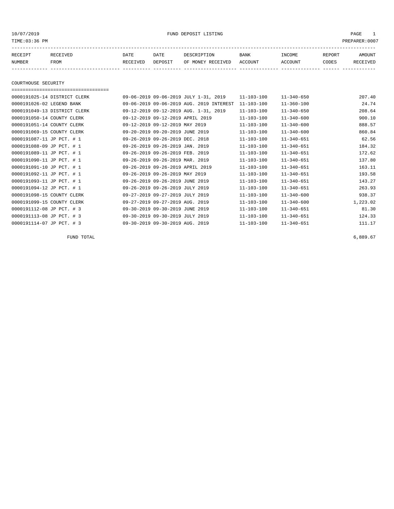# 10/07/2019 FUND DEPOSIT LISTING PAGE 1

| RECEIPT | <b>RECEIVED</b> | DATE            | DATE    | DESCRIPTION       | <b>BANK</b> | INCOME  | REPORT | AMOUNT          |
|---------|-----------------|-----------------|---------|-------------------|-------------|---------|--------|-----------------|
| NUMBER  | FROM            | <b>RECEIVED</b> | DEPOSIT | OF MONEY RECEIVED | ACCOUNT     | ACCOUNT | CODES  | <b>RECEIVED</b> |
|         |                 |                 |         |                   |             |         |        |                 |

COURTHOUSE SECURITY

===================================

| 0000191025-14 DISTRICT CLERK | 09-06-2019 09-06-2019 JULY 1-31, 2019    | $11 - 103 - 100$ | $11 - 340 - 650$ | 207.40   |
|------------------------------|------------------------------------------|------------------|------------------|----------|
| 0000191026-02 LEGEND BANK    | 09-06-2019 09-06-2019 AUG. 2019 INTEREST | $11 - 103 - 100$ | $11 - 360 - 100$ | 24.74    |
| 0000191049-13 DISTRICT CLERK | 09-12-2019 09-12-2019 AUG. 1-31, 2019    | $11 - 103 - 100$ | $11 - 340 - 650$ | 208.64   |
| 0000191050-14 COUNTY CLERK   | 09-12-2019 09-12-2019 APRIL 2019         | $11 - 103 - 100$ | $11 - 340 - 600$ | 900.10   |
| 0000191051-14 COUNTY CLERK   | 09-12-2019 09-12-2019 MAY 2019           | $11 - 103 - 100$ | $11 - 340 - 600$ | 888.57   |
| 0000191069-15 COUNTY CLERK   | 09-20-2019 09-20-2019 JUNE 2019          | $11 - 103 - 100$ | $11 - 340 - 600$ | 860.84   |
| 0000191087-11 JP PCT. # 1    | 09-26-2019 09-26-2019 DEC. 2018          | $11 - 103 - 100$ | $11 - 340 - 651$ | 62.56    |
| 0000191088-09 JP PCT. # 1    | 09-26-2019 09-26-2019 JAN. 2019          | $11 - 103 - 100$ | $11 - 340 - 651$ | 184.32   |
| 0000191089-11 JP PCT. # 1    | 09-26-2019 09-26-2019 FEB. 2019          | $11 - 103 - 100$ | $11 - 340 - 651$ | 172.62   |
| 0000191090-11 JP PCT. # 1    | 09-26-2019 09-26-2019 MAR. 2019          | $11 - 103 - 100$ | $11 - 340 - 651$ | 137.80   |
| 0000191091-10 JP PCT. # 1    | 09-26-2019 09-26-2019 APRIL 2019         | $11 - 103 - 100$ | $11 - 340 - 651$ | 163.11   |
| 0000191092-11 JP PCT. # 1    | 09-26-2019 09-26-2019 MAY 2019           | $11 - 103 - 100$ | $11 - 340 - 651$ | 193.58   |
| 0000191093-11 JP PCT. # 1    | 09-26-2019 09-26-2019 JUNE 2019          | $11 - 103 - 100$ | $11 - 340 - 651$ | 143.27   |
| 0000191094-12 JP PCT. # 1    | 09-26-2019 09-26-2019 JULY 2019          | $11 - 103 - 100$ | $11 - 340 - 651$ | 263.93   |
| 0000191098-15 COUNTY CLERK   | 09-27-2019 09-27-2019 JULY 2019          | $11 - 103 - 100$ | $11 - 340 - 600$ | 938.37   |
| 0000191099-15 COUNTY CLERK   | 09-27-2019 09-27-2019 AUG. 2019          | $11 - 103 - 100$ | $11 - 340 - 600$ | 1,223.02 |
| 0000191112-08 JP PCT. # 3    | 09-30-2019 09-30-2019 JUNE 2019          | $11 - 103 - 100$ | $11 - 340 - 651$ | 81.30    |
| 0000191113-08 JP PCT. # 3    | 09-30-2019 09-30-2019 JULY 2019          | $11 - 103 - 100$ | $11 - 340 - 651$ | 124.33   |
| 0000191114-07 JP PCT. # 3    | 09-30-2019 09-30-2019 AUG. 2019          | $11 - 103 - 100$ | $11 - 340 - 651$ | 111.17   |

FUND TOTAL  $6,889.67$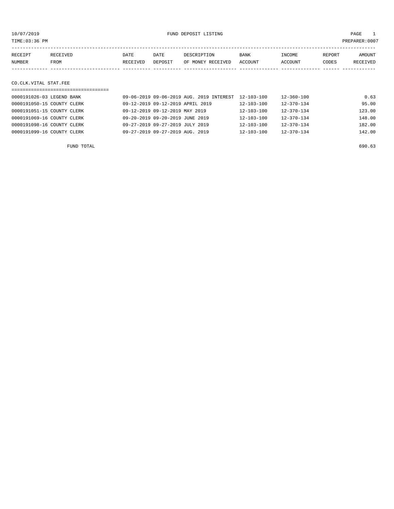10/07/2019 FUND DEPOSIT LISTING PAGE 1

| RECEIPT | RECEIVED | DATE     | DATE    | DESCRIPTION       | <b>BANK</b> | INCOME         | REPORT | AMOUNT   |
|---------|----------|----------|---------|-------------------|-------------|----------------|--------|----------|
| NUMBER  | FROM     | RECEIVED | DEPOSIT | OF MONEY RECEIVED | ACCOUNT     | <b>ACCOUNT</b> | CODES  | RECEIVED |
|         |          |          |         |                   |             |                |        |          |

#### CO.CLK.VITAL STAT.FEE

| --------------------------------- |                                          |                  |                  |        |
|-----------------------------------|------------------------------------------|------------------|------------------|--------|
| 0000191026-03 LEGEND BANK         | 09-06-2019 09-06-2019 AUG. 2019 INTEREST | $12 - 103 - 100$ | 12-360-100       | 0.63   |
| 0000191050-15 COUNTY CLERK        | 09-12-2019 09-12-2019 APRIL 2019         | $12 - 103 - 100$ | $12 - 370 - 134$ | 95.00  |
| 0000191051-15 COUNTY CLERK        | 09-12-2019 09-12-2019 MAY 2019           | $12 - 103 - 100$ | $12 - 370 - 134$ | 123.00 |
| 0000191069-16 COUNTY CLERK        | 09-20-2019 09-20-2019 JUNE 2019          | $12 - 103 - 100$ | $12 - 370 - 134$ | 148.00 |
| 0000191098-16 COUNTY CLERK        | 09-27-2019 09-27-2019 JULY 2019          | $12 - 103 - 100$ | $12 - 370 - 134$ | 182.00 |
| 0000191099-16 COUNTY CLERK        | 09-27-2019 09-27-2019 AUG. 2019          | $12 - 103 - 100$ | $12 - 370 - 134$ | 142.00 |
|                                   |                                          |                  |                  |        |

FUND TOTAL 690.63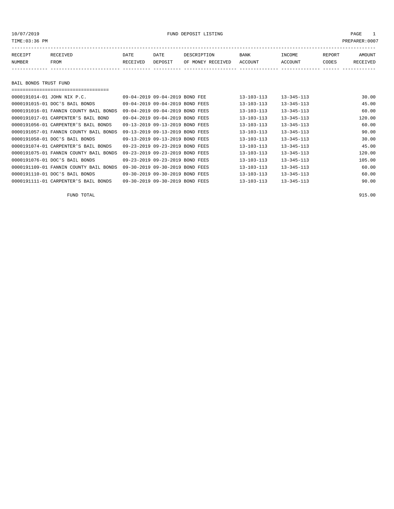# 10/07/2019 FUND DEPOSIT LISTING PAGE 1

| RECEIPT | RECEIVED | DATE     | DATE    | DESCRIPTION       | BANK    | INCOME  | REPORT | <b>AMOUNT</b> |
|---------|----------|----------|---------|-------------------|---------|---------|--------|---------------|
| NUMBER  | FROM     | RECEIVED | DEPOSIT | OF MONEY RECEIVED | ACCOUNT | ACCOUNT | CODES  | RECEIVED      |
|         |          |          |         |                   |         |         |        |               |
|         |          |          |         |                   |         |         |        |               |

# BAIL BONDS TRUST FUND

| -----------------------------------    |                                 |                  |                  |        |
|----------------------------------------|---------------------------------|------------------|------------------|--------|
| 0000191014-01 JOHN NIX P.C.            | 09-04-2019 09-04-2019 BOND FEE  | $13 - 103 - 113$ | $13 - 345 - 113$ | 30.00  |
| 0000191015-01 DOC'S BAIL BONDS         | 09-04-2019 09-04-2019 BOND FEES | $13 - 103 - 113$ | $13 - 345 - 113$ | 45.00  |
| 0000191016-01 FANNIN COUNTY BAIL BONDS | 09-04-2019 09-04-2019 BOND FEES | $13 - 103 - 113$ | $13 - 345 - 113$ | 60.00  |
| 0000191017-01 CARPENTER'S BAIL BOND    | 09-04-2019 09-04-2019 BOND FEES | $13 - 103 - 113$ | $13 - 345 - 113$ | 120.00 |
| 0000191056-01 CARPENTER'S BAIL BONDS   | 09-13-2019 09-13-2019 BOND FEES | $13 - 103 - 113$ | $13 - 345 - 113$ | 60.00  |
| 0000191057-01 FANNIN COUNTY BAIL BONDS | 09-13-2019 09-13-2019 BOND FEES | $13 - 103 - 113$ | $13 - 345 - 113$ | 90.00  |
| 0000191058-01 DOC'S BAIL BONDS         | 09-13-2019 09-13-2019 BOND FEES | $13 - 103 - 113$ | $13 - 345 - 113$ | 30.00  |
| 0000191074-01 CARPENTER'S BAIL BONDS   | 09-23-2019 09-23-2019 BOND FEES | $13 - 103 - 113$ | $13 - 345 - 113$ | 45.00  |
| 0000191075-01 FANNIN COUNTY BAIL BONDS | 09-23-2019 09-23-2019 BOND FEES | $13 - 103 - 113$ | $13 - 345 - 113$ | 120.00 |
| 0000191076-01 DOC'S BAIL BONDS         | 09-23-2019 09-23-2019 BOND FEES | $13 - 103 - 113$ | $13 - 345 - 113$ | 105.00 |
| 0000191109-01 FANNIN COUNTY BAIL BONDS | 09-30-2019 09-30-2019 BOND FEES | $13 - 103 - 113$ | $13 - 345 - 113$ | 60.00  |
| 0000191110-01 DOC'S BAIL BONDS         | 09-30-2019 09-30-2019 BOND FEES | $13 - 103 - 113$ | $13 - 345 - 113$ | 60.00  |
| 0000191111-01 CARPENTER'S BAIL BONDS   | 09-30-2019 09-30-2019 BOND FEES | $13 - 103 - 113$ | $13 - 345 - 113$ | 90.00  |

FUND TOTAL 915.00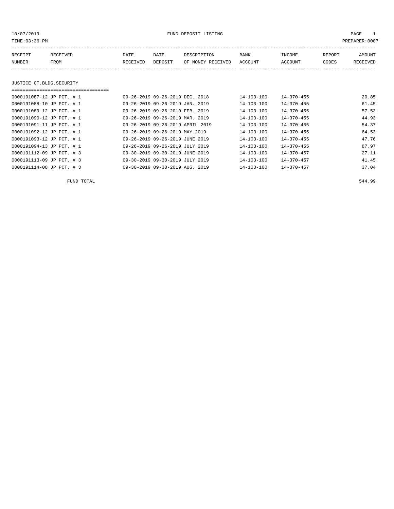# 10/07/2019 PAGE 1

|                           |             |         |                   |                                                                                                                                                                                                                                                                                                                                                            |                  |        | PREPARER:0007 |
|---------------------------|-------------|---------|-------------------|------------------------------------------------------------------------------------------------------------------------------------------------------------------------------------------------------------------------------------------------------------------------------------------------------------------------------------------------------------|------------------|--------|---------------|
| RECEIVED                  | <b>DATE</b> | DATE    | DESCRIPTION       | <b>BANK</b>                                                                                                                                                                                                                                                                                                                                                | INCOME           | REPORT | AMOUNT        |
| FROM                      | RECEIVED    | DEPOSIT | OF MONEY RECEIVED | ACCOUNT                                                                                                                                                                                                                                                                                                                                                    | ACCOUNT          | CODES  | RECEIVED      |
|                           |             |         |                   |                                                                                                                                                                                                                                                                                                                                                            |                  |        |               |
| JUSTICE CT.BLDG.SECURITY  |             |         |                   |                                                                                                                                                                                                                                                                                                                                                            |                  |        |               |
|                           |             |         |                   |                                                                                                                                                                                                                                                                                                                                                            |                  |        |               |
| 0000191087-12 JP PCT. # 1 |             |         |                   | $14 - 103 - 100$                                                                                                                                                                                                                                                                                                                                           | 14-370-455       |        | 20.85         |
| 0000191088-10 JP PCT. # 1 |             |         |                   | $14 - 103 - 100$                                                                                                                                                                                                                                                                                                                                           | $14 - 370 - 455$ |        | 61.45         |
| 0000191089-12 JP PCT. # 1 |             |         |                   | $14 - 103 - 100$                                                                                                                                                                                                                                                                                                                                           | $14 - 370 - 455$ |        | 57.53         |
| 0000191090-12 JP PCT. # 1 |             |         |                   | 14-103-100                                                                                                                                                                                                                                                                                                                                                 | $14 - 370 - 455$ |        | 44.93         |
| 0000191091-11 JP PCT. # 1 |             |         |                   | $14 - 103 - 100$                                                                                                                                                                                                                                                                                                                                           | $14 - 370 - 455$ |        | 54.37         |
| 0000191092-12 JP PCT. # 1 |             |         |                   | $14 - 103 - 100$                                                                                                                                                                                                                                                                                                                                           | $14 - 370 - 455$ |        | 64.53         |
| 0000191093-12 JP PCT. # 1 |             |         |                   | 14-103-100                                                                                                                                                                                                                                                                                                                                                 | $14 - 370 - 455$ |        | 47.76         |
| 0000191094-13 JP PCT. # 1 |             |         |                   | 14-103-100                                                                                                                                                                                                                                                                                                                                                 | $14 - 370 - 455$ |        | 87.97         |
| 0000191112-09 JP PCT. # 3 |             |         |                   | $14 - 103 - 100$                                                                                                                                                                                                                                                                                                                                           | $14 - 370 - 457$ |        | 27.11         |
| 0000191113-09 JP PCT. # 3 |             |         |                   | $14 - 103 - 100$                                                                                                                                                                                                                                                                                                                                           | $14 - 370 - 457$ |        | 41.45         |
|                           |             |         |                   | 09-26-2019 09-26-2019 DEC. 2018<br>09-26-2019 09-26-2019 JAN. 2019<br>09-26-2019 09-26-2019 FEB. 2019<br>09-26-2019 09-26-2019 MAR. 2019<br>09-26-2019 09-26-2019 APRIL 2019<br>09-26-2019 09-26-2019 MAY 2019<br>09-26-2019 09-26-2019 JUNE 2019<br>09-26-2019 09-26-2019 JULY 2019<br>09-30-2019 09-30-2019 JUNE 2019<br>09-30-2019 09-30-2019 JULY 2019 |                  |        |               |

0000191114-08 JP PCT. # 3 09-30-2019 09-30-2019 AUG. 2019 14-103-100 14-370-457 37.04

FUND TOTAL 544.99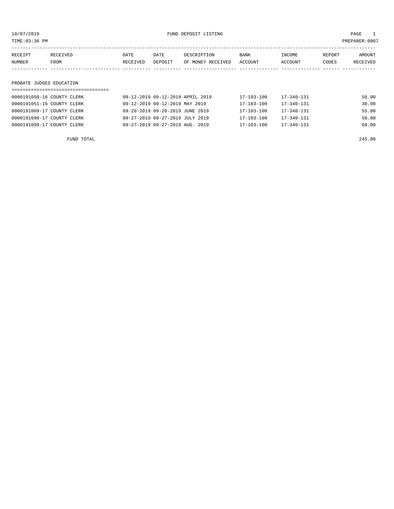| TIME:03:36 PM            |                            |          |                                  |                   |                  |                  |        | PREPARER:0007 |
|--------------------------|----------------------------|----------|----------------------------------|-------------------|------------------|------------------|--------|---------------|
| RECEIPT                  | RECEIVED                   | DATE     | DATE                             | DESCRIPTION       | BANK             | INCOME           | REPORT | AMOUNT        |
| NUMBER                   | FROM                       | RECEIVED | DEPOSIT                          | OF MONEY RECEIVED | ACCOUNT          | ACCOUNT          | CODES  | RECEIVED      |
|                          |                            |          |                                  |                   |                  |                  |        |               |
| PROBATE JUDGES EDUCATION |                            |          |                                  |                   |                  |                  |        |               |
|                          |                            |          |                                  |                   |                  |                  |        |               |
|                          | 0000191050-16 COUNTY CLERK |          | 09-12-2019 09-12-2019 APRIL 2019 |                   | $17 - 103 - 100$ | $17 - 340 - 131$ |        | 50.00         |
|                          | 0000191051-16 COUNTY CLERK |          | 09-12-2019 09-12-2019 MAY 2019   |                   | $17 - 103 - 100$ | $17 - 340 - 131$ |        | 30.00         |

0000191069-17 COUNTY CLERK 09-20-2019 09-20-2019 JUNE 2019 17-103-100 17-340-131 55.00 0000191098-17 COUNTY CLERK 09-27-2019 09-27-2019 JULY 2019 17-103-100 17-340-131 50.00 0000191099-17 COUNTY CLERK 09-27-2019 09-27-2019 AUG. 2019 17-103-100 17-340-131 60.00

| FUND TOTAL | 245.00 |
|------------|--------|
|            |        |
|            |        |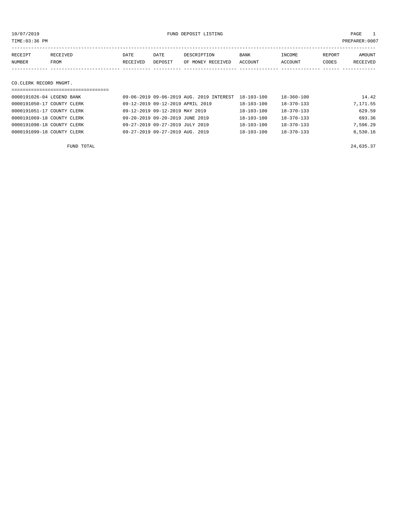10/07/2019 FUND DEPOSIT LISTING PAGE 1

| RECEIPT | <b>RECEIVED</b> | DATE     | DATE    | DESCRIPTION       | <b>BANK</b> | INCOME         | REPORT | AMOUNT          |
|---------|-----------------|----------|---------|-------------------|-------------|----------------|--------|-----------------|
| NUMBER  | <b>FROM</b>     | RECEIVED | DEPOSIT | OF MONEY RECEIVED | ACCOUNT     | <b>ACCOUNT</b> | CODES  | <b>RECEIVED</b> |
|         |                 |          |         |                   |             |                |        |                 |

#### CO.CLERK RECORD MNGMT.

| =================================== |                                          |                  |                  |          |
|-------------------------------------|------------------------------------------|------------------|------------------|----------|
| 0000191026-04 LEGEND BANK           | 09-06-2019 09-06-2019 AUG. 2019 INTEREST | $18 - 103 - 100$ | 18-360-100       | 14.42    |
| 0000191050-17 COUNTY CLERK          | 09-12-2019 09-12-2019 APRIL 2019         | $18 - 103 - 100$ | $18 - 370 - 133$ | 7,171.55 |
| 0000191051-17 COUNTY CLERK          | 09-12-2019 09-12-2019 MAY 2019           | $18 - 103 - 100$ | $18 - 370 - 133$ | 629.59   |
| 0000191069-18 COUNTY CLERK          | 09-20-2019 09-20-2019 JUNE 2019          | $18 - 103 - 100$ | $18 - 370 - 133$ | 693.36   |
| 0000191098-18 COUNTY CLERK          | 09-27-2019 09-27-2019 JULY 2019          | $18 - 103 - 100$ | $18 - 370 - 133$ | 7,596.29 |
| 0000191099-18 COUNTY CLERK          | 09-27-2019 09-27-2019 AUG. 2019          | $18 - 103 - 100$ | $18 - 370 - 133$ | 8,530.16 |
|                                     |                                          |                  |                  |          |

FUND TOTAL  $24,635.37$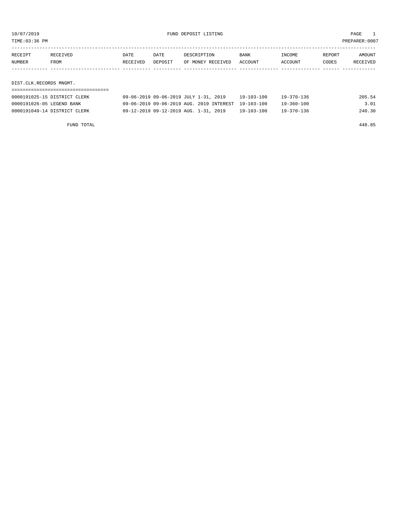TIME:03:36 PM PREPARER:0007

| RECEIPT                 | RECEIVED | DATE     | DATE    | DESCRIPTION       | BANK    | INCOME  | REPORT | AMOUNT   |
|-------------------------|----------|----------|---------|-------------------|---------|---------|--------|----------|
| NUMBER                  | FROM     | RECEIVED | DEPOSIT | OF MONEY RECEIVED | ACCOUNT | ACCOUNT | CODES  | RECEIVED |
|                         |          |          |         |                   |         |         |        |          |
|                         |          |          |         |                   |         |         |        |          |
| DIST.CLK.RECORDS MNGMT. |          |          |         |                   |         |         |        |          |

| 0000191025-15 DISTRICT CLERK | 09-06-2019 09-06-2019 JULY 1-31, 2019               | 19-103-100 | 19-370-136 | 205.54 |
|------------------------------|-----------------------------------------------------|------------|------------|--------|
| 0000191026-05 LEGEND BANK    | 09-06-2019 09-06-2019 AUG. 2019 INTEREST 19-103-100 |            | 19-360-100 | 3.01   |
| 0000191049-14 DISTRICT CLERK | 09-12-2019 09-12-2019 AUG. 1-31, 2019               | 19-103-100 | 19-370-136 | 240.30 |

FUND TOTAL 448.85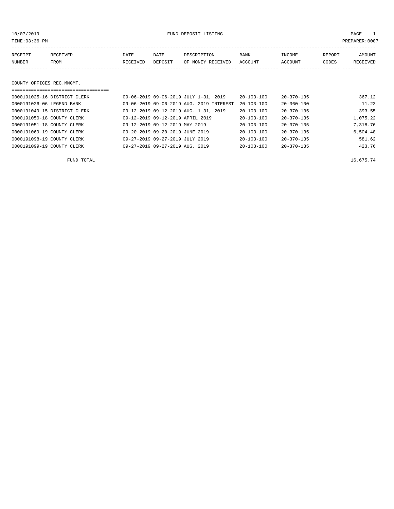10/07/2019 FUND DEPOSIT LISTING PAGE 1

| RECEIPT | RECEIVED | <b>DATE</b> | DATE    | DESCRIPTION               | <b>BANK</b> | INCOME  | REPORT | <b>AMOUNT</b> |
|---------|----------|-------------|---------|---------------------------|-------------|---------|--------|---------------|
| NUMBER  | FROM     | RECEIVED    | DEPOSIT | OF MONEY RECEIVED ACCOUNT |             | ACCOUNT | CODES  | RECEIVED      |
|         |          |             |         |                           |             |         |        |               |

### COUNTY OFFICES REC.MNGMT.

| ================================= |                                          |                  |                  |          |
|-----------------------------------|------------------------------------------|------------------|------------------|----------|
| 0000191025-16 DISTRICT CLERK      | 09-06-2019 09-06-2019 JULY 1-31, 2019    | $20 - 103 - 100$ | $20 - 370 - 135$ | 367.12   |
| 0000191026-06 LEGEND BANK         | 09-06-2019 09-06-2019 AUG. 2019 INTEREST | $20 - 103 - 100$ | $20 - 360 - 100$ | 11.23    |
| 0000191049-15 DISTRICT CLERK      | 09-12-2019 09-12-2019 AUG. 1-31, 2019    | $20 - 103 - 100$ | $20 - 370 - 135$ | 393.55   |
| 0000191050-18 COUNTY CLERK        | 09-12-2019 09-12-2019 APRIL 2019         | $20 - 103 - 100$ | $20 - 370 - 135$ | 1,075.22 |
| 0000191051-18 COUNTY CLERK        | 09-12-2019 09-12-2019 MAY 2019           | $20 - 103 - 100$ | $20 - 370 - 135$ | 7,318.76 |
| 0000191069-19 COUNTY CLERK        | 09-20-2019 09-20-2019 JUNE 2019          | 20-103-100       | $20 - 370 - 135$ | 6,504.48 |
| 0000191098-19 COUNTY CLERK        | 09-27-2019 09-27-2019 JULY 2019          | $20 - 103 - 100$ | $20 - 370 - 135$ | 581.62   |
| 0000191099-19 COUNTY CLERK        | 09-27-2019 09-27-2019 AUG. 2019          | $20 - 103 - 100$ | $20 - 370 - 135$ | 423.76   |

FUND TOTAL  $16,675.74$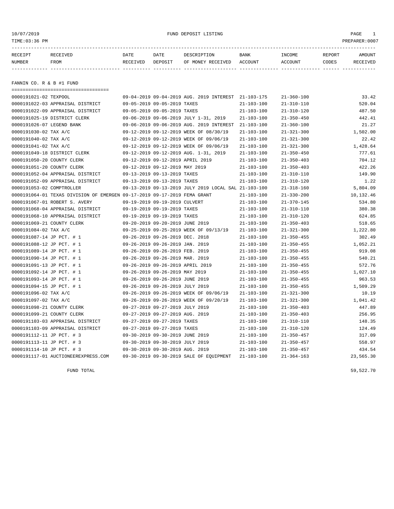# 10/07/2019 FUND DEPOSIT LISTING PAGE 1

| RECEIPT | <b>RECEIVED</b> | DATE     | DATE    | DESCRIPTION          | <b>BANK</b>    | INCOME  | <b>REPORT</b> | AMOUNT          |
|---------|-----------------|----------|---------|----------------------|----------------|---------|---------------|-----------------|
| NUMBER  | FROM            | RECEIVED | DEPOSIT | RECEIVED<br>OF MONEY | <b>ACCOUNT</b> | ACCOUNT | CODES         | <b>RECEIVED</b> |
|         |                 |          |         |                      |                |         |               |                 |

FANNIN CO. R & B #1 FUND

| =====================================                                    |                                  |                                                      |                  |                  |           |
|--------------------------------------------------------------------------|----------------------------------|------------------------------------------------------|------------------|------------------|-----------|
| 0000191021-02 TEXPOOL                                                    |                                  | 09-04-2019 09-04-2019 AUG. 2019 INTEREST 21-103-175  |                  | $21 - 360 - 100$ | 33.42     |
| 0000191022-03 APPRAISAL DISTRICT                                         | 09-05-2019 09-05-2019 TAXES      |                                                      | $21 - 103 - 100$ | $21 - 310 - 110$ | 520.04    |
| 0000191022-09 APPRAISAL DISTRICT                                         | 09-05-2019 09-05-2019 TAXES      |                                                      | $21 - 103 - 100$ | $21 - 310 - 120$ | 487.50    |
| 0000191025-19 DISTRICT CLERK                                             |                                  | 09-06-2019 09-06-2019 JULY 1-31, 2019                | $21 - 103 - 100$ | $21 - 350 - 450$ | 442.41    |
| 0000191026-07 LEGEND BANK                                                |                                  | 09-06-2019 09-06-2019 AUG. 2019 INTEREST             | $21 - 103 - 100$ | $21 - 360 - 100$ | 21.27     |
| 0000191030-02 TAX A/C                                                    |                                  | 09-12-2019 09-12-2019 WEEK OF 08/30/19               | $21 - 103 - 100$ | $21 - 321 - 300$ | 1,502.00  |
| 0000191040-02 TAX A/C                                                    |                                  | 09-12-2019 09-12-2019 WEEK OF 09/06/19               | $21 - 103 - 100$ | $21 - 321 - 300$ | 22.42     |
| 0000191041-02 TAX A/C                                                    |                                  | 09-12-2019 09-12-2019 WEEK OF 09/06/19               | $21 - 103 - 100$ | $21 - 321 - 300$ | 1,428.64  |
| 0000191049-18 DISTRICT CLERK                                             |                                  | 09-12-2019 09-12-2019 AUG. 1-31, 2019                | $21 - 103 - 100$ | $21 - 350 - 450$ | 777.61    |
| 0000191050-20 COUNTY CLERK                                               | 09-12-2019 09-12-2019 APRIL 2019 |                                                      | $21 - 103 - 100$ | $21 - 350 - 403$ | 704.12    |
| 0000191051-20 COUNTY CLERK                                               | 09-12-2019 09-12-2019 MAY 2019   |                                                      | $21 - 103 - 100$ | $21 - 350 - 403$ | 422.26    |
| 0000191052-04 APPRAISAL DISTRICT                                         | 09-13-2019 09-13-2019 TAXES      |                                                      | $21 - 103 - 100$ | $21 - 310 - 110$ | 149.90    |
| 0000191052-09 APPRAISAL DISTRICT                                         | 09-13-2019 09-13-2019 TAXES      |                                                      | $21 - 103 - 100$ | $21 - 310 - 120$ | 1.22      |
| 0000191053-02 COMPTROLLER                                                |                                  | 09-13-2019 09-13-2019 JULY 2019 LOCAL SAL 21-103-100 |                  | $21 - 318 - 160$ | 5,804.09  |
| 0000191064-01 TEXAS DIVISION OF EMERGEN 09-17-2019 09-17-2019 FEMA GRANT |                                  |                                                      | $21 - 103 - 100$ | $21 - 330 - 200$ | 10,132.46 |
| 0000191067-01 ROBERT S. AVERY                                            | 09-19-2019 09-19-2019 CULVERT    |                                                      | $21 - 103 - 100$ | $21 - 370 - 145$ | 534.80    |
| 0000191068-04 APPRAISAL DISTRICT                                         | 09-19-2019 09-19-2019 TAXES      |                                                      | $21 - 103 - 100$ | $21 - 310 - 110$ | 380.38    |
| 0000191068-10 APPRAISAL DISTRICT                                         | 09-19-2019 09-19-2019 TAXES      |                                                      | $21 - 103 - 100$ | $21 - 310 - 120$ | 624.85    |
| 0000191069-21 COUNTY CLERK                                               | 09-20-2019 09-20-2019 JUNE 2019  |                                                      | $21 - 103 - 100$ | $21 - 350 - 403$ | 518.65    |
| 0000191084-02 TAX A/C                                                    |                                  | 09-25-2019 09-25-2019 WEEK OF 09/13/19               | $21 - 103 - 100$ | $21 - 321 - 300$ | 1,222.80  |
| 0000191087-14 JP PCT. # 1                                                | 09-26-2019 09-26-2019 DEC. 2018  |                                                      | $21 - 103 - 100$ | $21 - 350 - 455$ | 302.49    |
| 0000191088-12 JP PCT. # 1                                                | 09-26-2019 09-26-2019 JAN. 2019  |                                                      | $21 - 103 - 100$ | $21 - 350 - 455$ | 1,052.21  |
| 0000191089-14 JP PCT. # 1                                                | 09-26-2019 09-26-2019 FEB. 2019  |                                                      | $21 - 103 - 100$ | $21 - 350 - 455$ | 919.08    |
| 0000191090-14 JP PCT. # 1                                                | 09-26-2019 09-26-2019 MAR. 2019  |                                                      | $21 - 103 - 100$ | $21 - 350 - 455$ | 540.21    |
| 0000191091-13 JP PCT. # 1                                                | 09-26-2019 09-26-2019 APRIL 2019 |                                                      | $21 - 103 - 100$ | $21 - 350 - 455$ | 572.76    |
| 0000191092-14 JP PCT. # 1                                                | 09-26-2019 09-26-2019 MAY 2019   |                                                      | $21 - 103 - 100$ | $21 - 350 - 455$ | 1,027.10  |
| 0000191093-14 JP PCT. # 1                                                | 09-26-2019 09-26-2019 JUNE 2019  |                                                      | $21 - 103 - 100$ | $21 - 350 - 455$ | 963.53    |
| 0000191094-15 JP PCT. # 1                                                | 09-26-2019 09-26-2019 JULY 2019  |                                                      | $21 - 103 - 100$ | $21 - 350 - 455$ | 1,509.29  |
| 0000191096-02 TAX A/C                                                    |                                  | 09-26-2019 09-26-2019 WEEK OF 09/06/19               | $21 - 103 - 100$ | $21 - 321 - 300$ | 10.19     |
| 0000191097-02 TAX A/C                                                    |                                  | 09-26-2019 09-26-2019 WEEK OF 09/20/19               | $21 - 103 - 100$ | $21 - 321 - 300$ | 1,041.42  |
| 0000191098-21 COUNTY CLERK                                               | 09-27-2019 09-27-2019 JULY 2019  |                                                      | $21 - 103 - 100$ | $21 - 350 - 403$ | 447.89    |
| 0000191099-21 COUNTY CLERK                                               | 09-27-2019 09-27-2019 AUG. 2019  |                                                      | $21 - 103 - 100$ | $21 - 350 - 403$ | 256.95    |
| 0000191103-03 APPRAISAL DISTRICT                                         | 09-27-2019 09-27-2019 TAXES      |                                                      | $21 - 103 - 100$ | $21 - 310 - 110$ | 148.35    |
| 0000191103-09 APPRAISAL DISTRICT                                         | 09-27-2019 09-27-2019 TAXES      |                                                      | $21 - 103 - 100$ | $21 - 310 - 120$ | 124.49    |
| 0000191112-11 JP PCT. # 3                                                | 09-30-2019 09-30-2019 JUNE 2019  |                                                      | $21 - 103 - 100$ | $21 - 350 - 457$ | 317.09    |
| 0000191113-11 JP PCT. # 3                                                | 09-30-2019 09-30-2019 JULY 2019  |                                                      | $21 - 103 - 100$ | $21 - 350 - 457$ | 558.97    |
| 0000191114-10 JP PCT. # 3                                                | 09-30-2019 09-30-2019 AUG. 2019  |                                                      | $21 - 103 - 100$ | $21 - 350 - 457$ | 434.54    |
| 0000191117-01 AUCTIONEEREXPRESS.COM                                      |                                  | 09-30-2019 09-30-2019 SALE OF EQUIPMENT              | $21 - 103 - 100$ | $21 - 364 - 163$ | 23,565.30 |

FUND TOTAL  $59,522.70$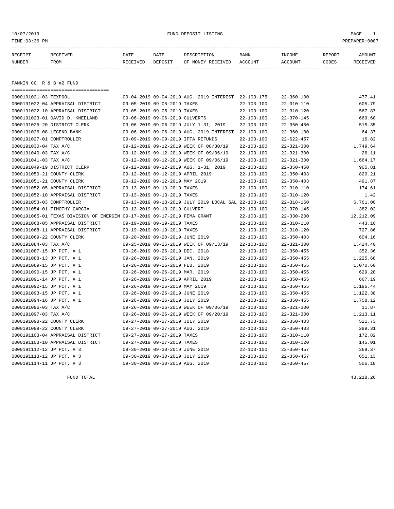# 10/07/2019 FUND DEPOSIT LISTING PAGE 1

| RECEIPT | RECEIVED | DATE     | DATE    | DESCRIPTION          | <b>BANK</b>    | INCOME  | REPORT       | AMOUNT   |
|---------|----------|----------|---------|----------------------|----------------|---------|--------------|----------|
| NUMBER  | FROM     | RECEIVED | DEPOSIT | RECEIVED<br>OF MONEY | <b>ACCOUNT</b> | ACCOUNT | <b>TODES</b> | RECEIVED |
|         |          |          |         |                      |                |         |              |          |

FANNIN CO. R & B #2 FUND

| ======================================                                   |                                  |                                                      |                  |                  |           |
|--------------------------------------------------------------------------|----------------------------------|------------------------------------------------------|------------------|------------------|-----------|
| 0000191021-03 TEXPOOL                                                    |                                  | 09-04-2019 09-04-2019 AUG. 2019 INTEREST 22-103-175  |                  | $22 - 360 - 100$ | 477.41    |
| 0000191022-04 APPRAISAL DISTRICT                                         | 09-05-2019 09-05-2019 TAXES      |                                                      | $22 - 103 - 100$ | $22 - 310 - 110$ | 605.79    |
| 0000191022-10 APPRAISAL DISTRICT                                         | 09-05-2019 09-05-2019 TAXES      |                                                      | $22 - 103 - 100$ | $22 - 310 - 120$ | 567.87    |
| 0000191023-01 DAVID D. KNEELAND                                          | 09-06-2019 09-06-2019 CULVERTS   |                                                      | $22 - 103 - 100$ | $22 - 370 - 145$ | 669.60    |
| 0000191025-20 DISTRICT CLERK                                             |                                  | 09-06-2019 09-06-2019 JULY 1-31, 2019                | $22 - 103 - 100$ | $22 - 350 - 450$ | 515.35    |
| 0000191026-08 LEGEND BANK                                                |                                  | 09-06-2019 09-06-2019 AUG. 2019 INTEREST             | $22 - 103 - 100$ | $22 - 360 - 100$ | 64.37     |
| 0000191027-01 COMPTROLLER                                                |                                  | 09-09-2019 09-09-2019 IFTA REFUNDS                   | 22-103-100       | $22 - 622 - 457$ | 16.82     |
| 0000191030-04 TAX A/C                                                    |                                  | 09-12-2019 09-12-2019 WEEK OF 08/30/19               | $22 - 103 - 100$ | $22 - 321 - 300$ | 1,749.64  |
| 0000191040-03 TAX A/C                                                    |                                  | 09-12-2019 09-12-2019 WEEK OF 09/06/19               | $22 - 103 - 100$ | $22 - 321 - 300$ | 26.11     |
| 0000191041-03 TAX A/C                                                    |                                  | 09-12-2019 09-12-2019 WEEK OF 09/06/19               | $22 - 103 - 100$ | $22 - 321 - 300$ | 1,664.17  |
| 0000191049-19 DISTRICT CLERK                                             |                                  | 09-12-2019 09-12-2019 AUG. 1-31, 2019                | $22 - 103 - 100$ | $22 - 350 - 450$ | 905.81    |
| 0000191050-21 COUNTY CLERK                                               | 09-12-2019 09-12-2019 APRIL 2019 |                                                      | $22 - 103 - 100$ | $22 - 350 - 403$ | 820.21    |
| 0000191051-21 COUNTY CLERK                                               | 09-12-2019 09-12-2019 MAY 2019   |                                                      | $22 - 103 - 100$ | $22 - 350 - 403$ | 491.87    |
| 0000191052-05 APPRAISAL DISTRICT                                         | 09-13-2019 09-13-2019 TAXES      |                                                      | $22 - 103 - 100$ | $22 - 310 - 110$ | 174.61    |
| 0000191052-10 APPRAISAL DISTRICT                                         | 09-13-2019 09-13-2019 TAXES      |                                                      | $22 - 103 - 100$ | $22 - 310 - 120$ | 1.42      |
| 0000191053-03 COMPTROLLER                                                |                                  | 09-13-2019 09-13-2019 JULY 2019 LOCAL SAL 22-103-100 |                  | $22 - 318 - 160$ | 6,761.00  |
| 0000191054-01 TIMOTHY GARCIA                                             | 09-13-2019 09-13-2019 CULVERT    |                                                      | $22 - 103 - 100$ | $22 - 370 - 145$ | 382.02    |
| 0000191065-01 TEXAS DIVISION OF EMERGEN 09-17-2019 09-17-2019 FEMA GRANT |                                  |                                                      | $22 - 103 - 100$ | $22 - 330 - 200$ | 12,212.09 |
| 0000191068-05 APPRAISAL DISTRICT                                         | 09-19-2019 09-19-2019 TAXES      |                                                      | $22 - 103 - 100$ | $22 - 310 - 110$ | 443.10    |
| 0000191068-11 APPRAISAL DISTRICT                                         | 09-19-2019 09-19-2019 TAXES      |                                                      | $22 - 103 - 100$ | $22 - 310 - 120$ | 727.86    |
| 0000191069-22 COUNTY CLERK                                               | 09-20-2019 09-20-2019 JUNE 2019  |                                                      | $22 - 103 - 100$ | $22 - 350 - 403$ | 604.16    |
| 0000191084-03 TAX A/C                                                    |                                  | 09-25-2019 09-25-2019 WEEK OF 09/13/19               | $22 - 103 - 100$ | $22 - 321 - 300$ | 1,424.40  |
| 0000191087-15 JP PCT. # 1                                                | 09-26-2019 09-26-2019 DEC. 2018  |                                                      | $22 - 103 - 100$ | $22 - 350 - 455$ | 352.36    |
| 0000191088-13 JP PCT. # 1                                                | 09-26-2019 09-26-2019 JAN. 2019  |                                                      | $22 - 103 - 100$ | $22 - 350 - 455$ | 1,225.68  |
| 0000191089-15 JP PCT. # 1                                                | 09-26-2019 09-26-2019 FEB. 2019  |                                                      | $22 - 103 - 100$ | $22 - 350 - 455$ | 1,070.60  |
| 0000191090-15 JP PCT. # 1                                                | 09-26-2019 09-26-2019 MAR. 2019  |                                                      | $22 - 103 - 100$ | $22 - 350 - 455$ | 629.28    |
| 0000191091-14 JP PCT. # 1                                                | 09-26-2019 09-26-2019 APRIL 2019 |                                                      | $22 - 103 - 100$ | $22 - 350 - 455$ | 667.19    |
| 0000191092-15 JP PCT. # 1                                                | 09-26-2019 09-26-2019 MAY 2019   |                                                      | $22 - 103 - 100$ | $22 - 350 - 455$ | 1,196.44  |
| 0000191093-15 JP PCT. # 1                                                | 09-26-2019 09-26-2019 JUNE 2019  |                                                      | $22 - 103 - 100$ | $22 - 350 - 455$ | 1,122.38  |
| 0000191094-16 JP PCT. # 1                                                | 09-26-2019 09-26-2019 JULY 2019  |                                                      | $22 - 103 - 100$ | $22 - 350 - 455$ | 1,758.12  |
| 0000191096-03 TAX A/C                                                    |                                  | 09-26-2019 09-26-2019 WEEK OF 09/06/19               | $22 - 103 - 100$ | $22 - 321 - 300$ | 11.87     |
| 0000191097-03 TAX A/C                                                    |                                  | 09-26-2019 09-26-2019 WEEK OF 09/20/19               | $22 - 103 - 100$ | $22 - 321 - 300$ | 1,213.11  |
| 0000191098-22 COUNTY CLERK                                               | 09-27-2019 09-27-2019 JULY 2019  |                                                      | $22 - 103 - 100$ | $22 - 350 - 403$ | 521.73    |
| 0000191099-22 COUNTY CLERK                                               | 09-27-2019 09-27-2019 AUG. 2019  |                                                      | $22 - 103 - 100$ | $22 - 350 - 403$ | 299.31    |
| 0000191103-04 APPRAISAL DISTRICT                                         | 09-27-2019 09-27-2019 TAXES      |                                                      | $22 - 103 - 100$ | $22 - 310 - 110$ | 172.82    |
| 0000191103-10 APPRAISAL DISTRICT                                         | 09-27-2019 09-27-2019 TAXES      |                                                      | $22 - 103 - 100$ | $22 - 310 - 120$ | 145.01    |
| 0000191112-12 JP PCT. # 3                                                | 09-30-2019 09-30-2019 JUNE 2019  |                                                      | $22 - 103 - 100$ | $22 - 350 - 457$ | 369.37    |
| 0000191113-12 JP PCT. # 3                                                | 09-30-2019 09-30-2019 JULY 2019  |                                                      | $22 - 103 - 100$ | $22 - 350 - 457$ | 651.13    |
| 0000191114-11 JP PCT. # 3                                                | 09-30-2019 09-30-2019 AUG. 2019  |                                                      | $22 - 103 - 100$ | $22 - 350 - 457$ | 506.18    |

FUND TOTAL  $^{43}$ ,  $^{218}$ .26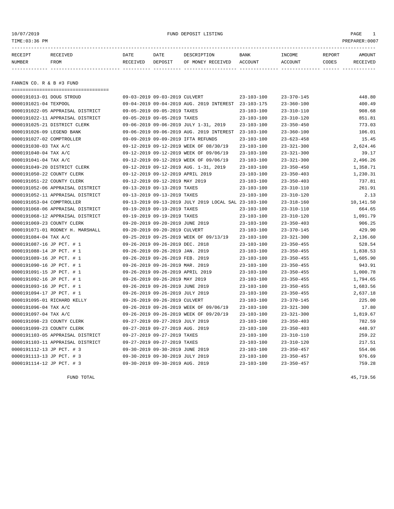# 10/07/2019 FUND DEPOSIT LISTING PAGE 1

| RECEIPT | <b>RECEIVED</b> | DATE     | DATE    | DESCRIPTION          | <b>BANK</b>    | INCOME  | <b>REPORT</b> | AMOUNT          |
|---------|-----------------|----------|---------|----------------------|----------------|---------|---------------|-----------------|
| NUMBER  | FROM            | RECEIVED | DEPOSIT | RECEIVED<br>OF MONEY | <b>ACCOUNT</b> | ACCOUNT | CODES         | <b>RECEIVED</b> |
|         |                 |          |         |                      |                |         |               |                 |

FANNIN CO. R & B #3 FUND

| ==================================== |                                                      |                  |                  |           |
|--------------------------------------|------------------------------------------------------|------------------|------------------|-----------|
| 0000191013-01 DOUG STROUD            | 09-03-2019 09-03-2019 CULVERT                        | $23 - 103 - 100$ | $23 - 370 - 145$ | 448.80    |
| 0000191021-04 TEXPOOL                | 09-04-2019 09-04-2019 AUG. 2019 INTEREST             | 23-103-175       | $23 - 360 - 100$ | 400.49    |
| 0000191022-05 APPRAISAL DISTRICT     | 09-05-2019 09-05-2019 TAXES                          | $23 - 103 - 100$ | $23 - 310 - 110$ | 908.68    |
| 0000191022-11 APPRAISAL DISTRICT     | 09-05-2019 09-05-2019 TAXES                          | $23 - 103 - 100$ | $23 - 310 - 120$ | 851.81    |
| 0000191025-21 DISTRICT CLERK         | 09-06-2019 09-06-2019 JULY 1-31, 2019                | $23 - 103 - 100$ | $23 - 350 - 450$ | 773.03    |
| 0000191026-09 LEGEND BANK            | 09-06-2019 09-06-2019 AUG. 2019 INTEREST             | $23 - 103 - 100$ | $23 - 360 - 100$ | 106.01    |
| 0000191027-02 COMPTROLLER            | 09-09-2019 09-09-2019 IFTA REFUNDS                   | $23 - 103 - 100$ | $23 - 623 - 458$ | 15.45     |
| 0000191030-03 TAX A/C                | 09-12-2019 09-12-2019 WEEK OF 08/30/19               | $23 - 103 - 100$ | $23 - 321 - 300$ | 2,624.46  |
| 0000191040-04 TAX A/C                | 09-12-2019 09-12-2019 WEEK OF 09/06/19               | $23 - 103 - 100$ | $23 - 321 - 300$ | 39.17     |
| 0000191041-04 TAX A/C                | 09-12-2019 09-12-2019 WEEK OF 09/06/19               | $23 - 103 - 100$ | $23 - 321 - 300$ | 2,496.26  |
| 0000191049-20 DISTRICT CLERK         | 09-12-2019 09-12-2019 AUG. 1-31, 2019                | $23 - 103 - 100$ | $23 - 350 - 450$ | 1,358.71  |
| 0000191050-22 COUNTY CLERK           | 09-12-2019 09-12-2019 APRIL 2019                     | $23 - 103 - 100$ | $23 - 350 - 403$ | 1,230.31  |
| 0000191051-22 COUNTY CLERK           | 09-12-2019 09-12-2019 MAY 2019                       | $23 - 103 - 100$ | $23 - 350 - 403$ | 737.81    |
| 0000191052-06 APPRAISAL DISTRICT     | 09-13-2019 09-13-2019 TAXES                          | $23 - 103 - 100$ | $23 - 310 - 110$ | 261.91    |
| 0000191052-11 APPRAISAL DISTRICT     | 09-13-2019 09-13-2019 TAXES                          | $23 - 103 - 100$ | $23 - 310 - 120$ | 2.13      |
| 0000191053-04 COMPTROLLER            | 09-13-2019 09-13-2019 JULY 2019 LOCAL SAL 23-103-100 |                  | $23 - 318 - 160$ | 10,141.50 |
| 0000191068-06 APPRAISAL DISTRICT     | 09-19-2019 09-19-2019 TAXES                          | $23 - 103 - 100$ | $23 - 310 - 110$ | 664.65    |
| 0000191068-12 APPRAISAL DISTRICT     | 09-19-2019 09-19-2019 TAXES                          | $23 - 103 - 100$ | $23 - 310 - 120$ | 1,091.79  |
| 0000191069-23 COUNTY CLERK           | 09-20-2019 09-20-2019 JUNE 2019                      | $23 - 103 - 100$ | $23 - 350 - 403$ | 906.25    |
| 0000191071-01 RODNEY H. MARSHALL     | 09-20-2019 09-20-2019 CULVERT                        | $23 - 103 - 100$ | $23 - 370 - 145$ | 429.90    |
| 0000191084-04 TAX A/C                | 09-25-2019 09-25-2019 WEEK OF 09/13/19               | $23 - 103 - 100$ | $23 - 321 - 300$ | 2,136.60  |
| 0000191087-16 JP PCT. # 1            | 09-26-2019 09-26-2019 DEC. 2018                      | $23 - 103 - 100$ | $23 - 350 - 455$ | 528.54    |
| 0000191088-14 JP PCT. # 1            | 09-26-2019 09-26-2019 JAN. 2019                      | $23 - 103 - 100$ | $23 - 350 - 455$ | 1,838.53  |
| 0000191089-16 JP PCT. # 1            | 09-26-2019 09-26-2019 FEB. 2019                      | $23 - 103 - 100$ | $23 - 350 - 455$ | 1,605.90  |
| 0000191090-16 JP PCT. # 1            | 09-26-2019 09-26-2019 MAR. 2019                      | $23 - 103 - 100$ | $23 - 350 - 455$ | 943.91    |
| 0000191091-15 JP PCT. # 1            | 09-26-2019 09-26-2019 APRIL 2019                     | $23 - 103 - 100$ | $23 - 350 - 455$ | 1,000.78  |
| 0000191092-16 JP PCT. # 1            | 09-26-2019 09-26-2019 MAY 2019                       | $23 - 103 - 100$ | $23 - 350 - 455$ | 1,794.65  |
| 0000191093-16 JP PCT. # 1            | 09-26-2019 09-26-2019 JUNE 2019                      | $23 - 103 - 100$ | $23 - 350 - 455$ | 1,683.56  |
| 0000191094-17 JP PCT. # 1            | 09-26-2019 09-26-2019 JULY 2019                      | $23 - 103 - 100$ | $23 - 350 - 455$ | 2,637.18  |
| 0000191095-01 RICHARD KELLY          | 09-26-2019 09-26-2019 CULVERT                        | $23 - 103 - 100$ | $23 - 370 - 145$ | 225.00    |
| 0000191096-04 TAX A/C                | 09-26-2019 09-26-2019 WEEK OF 09/06/19               | $23 - 103 - 100$ | $23 - 321 - 300$ | 17.80     |
| 0000191097-04 TAX A/C                | 09-26-2019 09-26-2019 WEEK OF 09/20/19               | $23 - 103 - 100$ | $23 - 321 - 300$ | 1,819.67  |
| 0000191098-23 COUNTY CLERK           | 09-27-2019 09-27-2019 JULY 2019                      | $23 - 103 - 100$ | $23 - 350 - 403$ | 782.59    |
| 0000191099-23 COUNTY CLERK           | 09-27-2019 09-27-2019 AUG. 2019                      | $23 - 103 - 100$ | $23 - 350 - 403$ | 448.97    |
| 0000191103-05 APPRAISAL DISTRICT     | 09-27-2019 09-27-2019 TAXES                          | $23 - 103 - 100$ | $23 - 310 - 110$ | 259.22    |
| 0000191103-11 APPRAISAL DISTRICT     | 09-27-2019 09-27-2019 TAXES                          | $23 - 103 - 100$ | $23 - 310 - 120$ | 217.51    |
| 0000191112-13 JP PCT. # 3            | 09-30-2019 09-30-2019 JUNE 2019                      | $23 - 103 - 100$ | $23 - 350 - 457$ | 554.06    |
| 0000191113-13 JP PCT. # 3            | 09-30-2019 09-30-2019 JULY 2019                      | $23 - 103 - 100$ | $23 - 350 - 457$ | 976.69    |
| 0000191114-12 JP PCT. # 3            | 09-30-2019 09-30-2019 AUG. 2019                      | $23 - 103 - 100$ | $23 - 350 - 457$ | 759.28    |

FUND TOTAL 45,719.56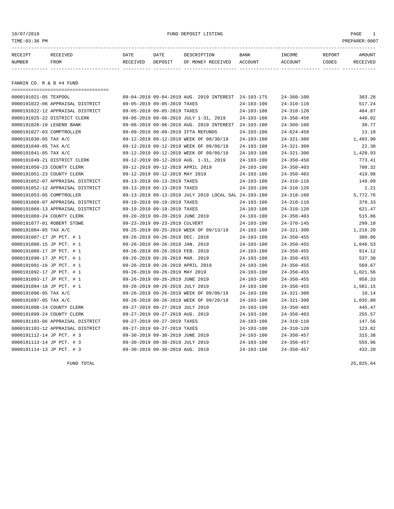10/07/2019 FUND DEPOSIT LISTING PAGE 1

| RECEIPT | <b>RECEIVED</b> | DATE     | DATE    | DESCRIPTION          | <b>BANK</b>    | INCOME  | <b>REPORT</b> | AMOUNT          |
|---------|-----------------|----------|---------|----------------------|----------------|---------|---------------|-----------------|
| NUMBER  | FROM            | RECEIVED | DEPOSIT | RECEIVED<br>OF MONEY | <b>ACCOUNT</b> | ACCOUNT | CODES         | <b>RECEIVED</b> |
|         |                 |          |         |                      |                |         |               |                 |

FANNIN CO. R & B #4 FUND

| ==================================== |                                  |                                                      |                  |                  |          |
|--------------------------------------|----------------------------------|------------------------------------------------------|------------------|------------------|----------|
| 0000191021-05 TEXPOOL                |                                  | 09-04-2019 09-04-2019 AUG. 2019 INTEREST 24-103-175  |                  | $24 - 360 - 100$ | 383.28   |
| 0000191022-06 APPRAISAL DISTRICT     | 09-05-2019 09-05-2019 TAXES      |                                                      | $24 - 103 - 100$ | $24 - 310 - 110$ | 517.24   |
| 0000191022-12 APPRAISAL DISTRICT     | 09-05-2019 09-05-2019 TAXES      |                                                      | $24 - 103 - 100$ | $24 - 310 - 120$ | 484.87   |
| 0000191025-22 DISTRICT CLERK         |                                  | 09-06-2019 09-06-2019 JULY 1-31, 2019                | $24 - 103 - 100$ | $24 - 350 - 450$ | 440.02   |
| 0000191026-10 LEGEND BANK            |                                  | 09-06-2019 09-06-2019 AUG. 2019 INTEREST             | 24-103-100       | $24 - 360 - 100$ | 30.77    |
| 0000191027-03 COMPTROLLER            |                                  | 09-09-2019 09-09-2019 IFTA REFUNDS                   | $24 - 103 - 100$ | $24 - 624 - 458$ | 13.18    |
| 0000191030-05 TAX A/C                |                                  | 09-12-2019 09-12-2019 WEEK OF 08/30/19               | $24 - 103 - 100$ | $24 - 321 - 300$ | 1,493.90 |
| 0000191040-05 TAX A/C                |                                  | 09-12-2019 09-12-2019 WEEK OF 09/06/19               | $24 - 103 - 100$ | $24 - 321 - 300$ | 22.30    |
| 0000191041-05 TAX A/C                |                                  | 09-12-2019 09-12-2019 WEEK OF 09/06/19               | $24 - 103 - 100$ | $24 - 321 - 300$ | 1,420.93 |
| 0000191049-21 DISTRICT CLERK         |                                  | 09-12-2019 09-12-2019 AUG. 1-31, 2019                | $24 - 103 - 100$ | $24 - 350 - 450$ | 773.41   |
| 0000191050-23 COUNTY CLERK           | 09-12-2019 09-12-2019 APRIL 2019 |                                                      | $24 - 103 - 100$ | $24 - 350 - 403$ | 700.32   |
| 0000191051-23 COUNTY CLERK           | 09-12-2019 09-12-2019 MAY 2019   |                                                      | $24 - 103 - 100$ | $24 - 350 - 403$ | 419.98   |
| 0000191052-07 APPRAISAL DISTRICT     | 09-13-2019 09-13-2019 TAXES      |                                                      | $24 - 103 - 100$ | $24 - 310 - 110$ | 149.09   |
| 0000191052-12 APPRAISAL DISTRICT     | 09-13-2019 09-13-2019 TAXES      |                                                      | $24 - 103 - 100$ | $24 - 310 - 120$ | 1.21     |
| 0000191053-05 COMPTROLLER            |                                  | 09-13-2019 09-13-2019 JULY 2019 LOCAL SAL 24-103-100 |                  | $24 - 318 - 160$ | 5,772.76 |
| 0000191068-07 APPRAISAL DISTRICT     | 09-19-2019 09-19-2019 TAXES      |                                                      | $24 - 103 - 100$ | $24 - 310 - 110$ | 378.33   |
| 0000191068-13 APPRAISAL DISTRICT     | 09-19-2019 09-19-2019 TAXES      |                                                      | $24 - 103 - 100$ | $24 - 310 - 120$ | 621.47   |
| 0000191069-24 COUNTY CLERK           | 09-20-2019 09-20-2019 JUNE 2019  |                                                      | $24 - 103 - 100$ | $24 - 350 - 403$ | 515.86   |
| 0000191077-01 ROBERT STOWE           | 09-23-2019 09-23-2019 CULVERT    |                                                      | $24 - 103 - 100$ | $24 - 370 - 145$ | 299.10   |
| 0000191084-05 TAX A/C                |                                  | 09-25-2019 09-25-2019 WEEK OF 09/13/19               | $24 - 103 - 100$ | $24 - 321 - 300$ | 1,216.20 |
| 0000191087-17 JP PCT. # 1            | 09-26-2019 09-26-2019 DEC. 2018  |                                                      | $24 - 103 - 100$ | $24 - 350 - 455$ | 300.86   |
| 0000191088-15 JP PCT. # 1            | 09-26-2019 09-26-2019 JAN. 2019  |                                                      | $24 - 103 - 100$ | $24 - 350 - 455$ | 1,046.53 |
| 0000191089-17 JP PCT. # 1            | 09-26-2019 09-26-2019 FEB. 2019  |                                                      | $24 - 103 - 100$ | $24 - 350 - 455$ | 914.12   |
| 0000191090-17 JP PCT. # 1            | 09-26-2019 09-26-2019 MAR. 2019  |                                                      | $24 - 103 - 100$ | $24 - 350 - 455$ | 537.30   |
| 0000191091-16 JP PCT. # 1            | 09-26-2019 09-26-2019 APRIL 2019 |                                                      | $24 - 103 - 100$ | $24 - 350 - 455$ | 569.67   |
| 0000191092-17 JP PCT. # 1            | 09-26-2019 09-26-2019 MAY 2019   |                                                      | $24 - 103 - 100$ | $24 - 350 - 455$ | 1,021.56 |
| 0000191093-17 JP PCT. # 1            | 09-26-2019 09-26-2019 JUNE 2019  |                                                      | $24 - 103 - 100$ | $24 - 350 - 455$ | 958.33   |
| 0000191094-18 JP PCT. # 1            | 09-26-2019 09-26-2019 JULY 2019  |                                                      | $24 - 103 - 100$ | $24 - 350 - 455$ | 1,501.15 |
| 0000191096-05 TAX A/C                |                                  | 09-26-2019 09-26-2019 WEEK OF 09/06/19               | $24 - 103 - 100$ | $24 - 321 - 300$ | 10.14    |
| 0000191097-05 TAX A/C                |                                  | 09-26-2019 09-26-2019 WEEK OF 09/20/19               | $24 - 103 - 100$ | $24 - 321 - 300$ | 1,035.80 |
| 0000191098-24 COUNTY CLERK           | 09-27-2019 09-27-2019 JULY 2019  |                                                      | $24 - 103 - 100$ | $24 - 350 - 403$ | 445.47   |
| 0000191099-24 COUNTY CLERK           | 09-27-2019 09-27-2019 AUG. 2019  |                                                      | $24 - 103 - 100$ | $24 - 350 - 403$ | 255.57   |
| 0000191103-06 APPRAISAL DISTRICT     | 09-27-2019 09-27-2019 TAXES      |                                                      | $24 - 103 - 100$ | $24 - 310 - 110$ | 147.56   |
| 0000191103-12 APPRAISAL DISTRICT     | 09-27-2019 09-27-2019 TAXES      |                                                      | $24 - 103 - 100$ | $24 - 310 - 120$ | 123.82   |
| 0000191112-14 JP PCT. # 3            | 09-30-2019 09-30-2019 JUNE 2019  |                                                      | $24 - 103 - 100$ | $24 - 350 - 457$ | 315.38   |
| 0000191113-14 JP PCT. # 3            | 09-30-2019 09-30-2019 JULY 2019  |                                                      | $24 - 103 - 100$ | $24 - 350 - 457$ | 555.96   |
| 0000191114-13 JP PCT. # 3            | 09-30-2019 09-30-2019 AUG. 2019  |                                                      | $24 - 103 - 100$ | $24 - 350 - 457$ | 432.20   |

FUND TOTAL 25,825.64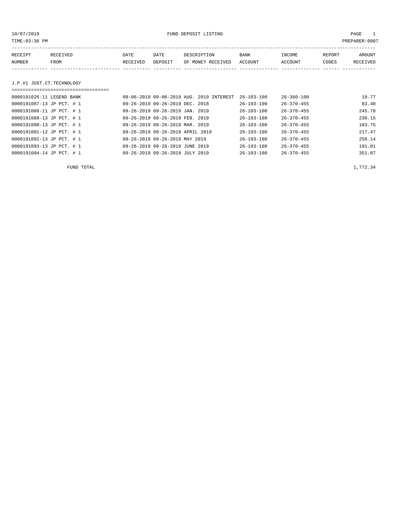10/07/2019 FUND DEPOSIT LISTING PAGE 1

| RECEIPT | <b>RECEIVED</b> | DATE     | DATE    | DESCRIPTION       | <b>BANK</b> | INCOME         | REPORT | AMOUNT          |
|---------|-----------------|----------|---------|-------------------|-------------|----------------|--------|-----------------|
| NUMBER  | FROM            | RECEIVED | DEPOSIT | OF MONEY RECEIVED | ACCOUNT     | <b>ACCOUNT</b> | CODES  | <b>RECEIVED</b> |
|         |                 |          |         |                   |             |                |        |                 |

### J.P.#1 JUST.CT.TECHNOLOGY

| 0000191026-11 LEGEND BANK | 09-06-2019 09-06-2019 AUG. 2019 INTEREST | $26 - 103 - 100$ | $26 - 360 - 100$ | 10.77  |
|---------------------------|------------------------------------------|------------------|------------------|--------|
| 0000191087-13 JP PCT. # 1 | 09-26-2019 09-26-2019 DEC. 2018          | $26 - 103 - 100$ | $26 - 370 - 455$ | 83.40  |
| 0000191088-11 JP PCT. # 1 | 09-26-2019 09-26-2019 JAN. 2019          | $26 - 103 - 100$ | $26 - 370 - 455$ | 245.78 |
| 0000191089-13 JP PCT. # 1 | 09-26-2019 09-26-2019 FEB. 2019          | $26 - 103 - 100$ | $26 - 370 - 455$ | 230.15 |
| 0000191090-13 JP PCT. # 1 | 09-26-2019 09-26-2019 MAR. 2019          | $26 - 103 - 100$ | $26 - 370 - 455$ | 183.75 |
| 0000191091-12 JP PCT. # 1 | 09-26-2019 09-26-2019 APRIL 2019         | $26 - 103 - 100$ | $26 - 370 - 455$ | 217.47 |
| 0000191092-13 JP PCT. # 1 | 09-26-2019 09-26-2019 MAY 2019           | $26 - 103 - 100$ | $26 - 370 - 455$ | 258.14 |
| 0000191093-13 JP PCT. # 1 | 09-26-2019 09-26-2019 JUNE 2019          | $26 - 103 - 100$ | $26 - 370 - 455$ | 191.01 |
| 0000191094-14 JP PCT. # 1 | 09-26-2019 09-26-2019 JULY 2019          | $26 - 103 - 100$ | $26 - 370 - 455$ | 351.87 |

FUND TOTAL  $1,772.34$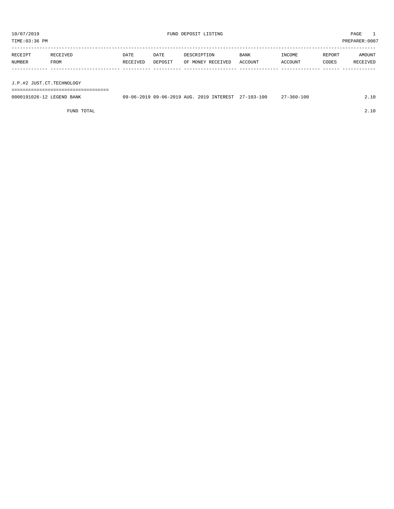TIME:03:36 PM PREPARER:0007

| RECEIPT | RECEIVED | DATE     | DATE    | DESCRIPTION       | <b>BANK</b> | INCOME  | REPORT | AMOUNT   |
|---------|----------|----------|---------|-------------------|-------------|---------|--------|----------|
| NUMBER  | FROM     | RECEIVED | DEPOSIT | OF MONEY RECEIVED | ACCOUNT     | ACCOUNT | CODES  | RECEIVED |
|         |          |          |         |                   |             |         |        |          |
|         |          |          |         |                   |             |         |        |          |

J.P.#2 JUST.CT.TECHNOLOGY

===================================

| 0000191026-12 LEGEND BANK | 09-06-2019 09-06-2019 AUG. | 2019 INTEREST | $27 - 103 - 100$ | $-360 - 100$ |  |
|---------------------------|----------------------------|---------------|------------------|--------------|--|
|                           |                            |               |                  |              |  |

FUND TOTAL 2.10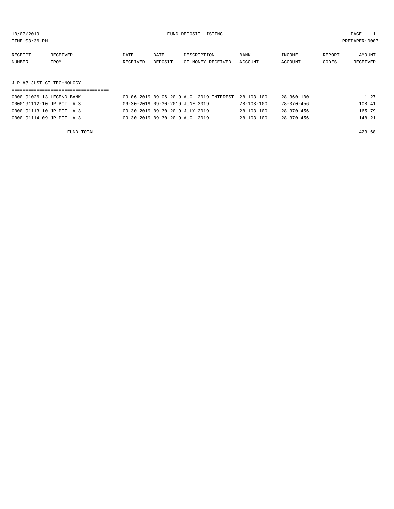TIME:03:36 PM PREPARER:0007

| RECEIPT                   | RECEIVED | DATE     | DATE    | DESCRIPTION       | <b>BANK</b> | INCOME  | REPORT | AMOUNT   |
|---------------------------|----------|----------|---------|-------------------|-------------|---------|--------|----------|
| NUMBER                    | FROM     | RECEIVED | DEPOSIT | OF MONEY RECEIVED | ACCOUNT     | ACCOUNT | CODES  | RECEIVED |
|                           |          |          |         |                   |             |         |        |          |
|                           |          |          |         |                   |             |         |        |          |
| J.P.#3 JUST.CT.TECHNOLOGY |          |          |         |                   |             |         |        |          |

| 0000191026-13 LEGEND BANK | 09-06-2019 09-06-2019 AUG. 2019 INTEREST 28-103-100 |                  | 28-360-100       | 1.27   |
|---------------------------|-----------------------------------------------------|------------------|------------------|--------|
| 0000191112-10 JP PCT. #3  | 09-30-2019 09-30-2019 JUNE 2019                     | $28 - 103 - 100$ | $28 - 370 - 456$ | 108.41 |
| 0000191113-10 JP PCT. # 3 | 09-30-2019 09-30-2019 JULY 2019                     | $28 - 103 - 100$ | $28 - 370 - 456$ | 165.79 |
| 0000191114-09 JP PCT. #3  | 09-30-2019 09-30-2019 AUG. 2019                     | $28 - 103 - 100$ | $28 - 370 - 456$ | 148.21 |

FUND TOTAL 423.68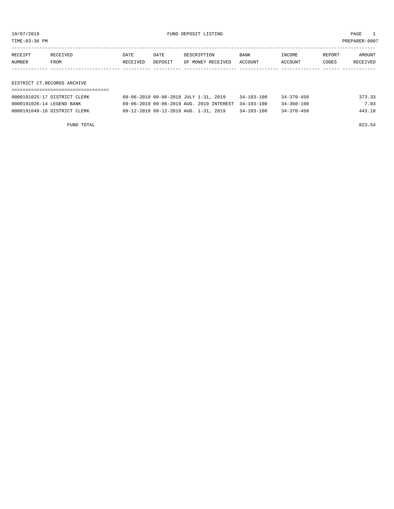10/07/2019 FUND DEPOSIT LISTING PAGE 1

| RECEIPT | RECEIVED                    | DATE     | DATE    | DESCRIPTION       | BANK    | INCOME  | REPORT | <b>AMOUNT</b> |
|---------|-----------------------------|----------|---------|-------------------|---------|---------|--------|---------------|
| NUMBER  | FROM                        | RECEIVED | DEPOSIT | OF MONEY RECEIVED | ACCOUNT | ACCOUNT | CODES  | RECEIVED      |
|         |                             |          |         |                   |         |         |        |               |
|         |                             |          |         |                   |         |         |        |               |
|         | DISTRICT CT.RECORDS ARCHIVE |          |         |                   |         |         |        |               |

===================================

| 0000191025-17 DISTRICT CLERK | 09-06-2019 09-06-2019 JULY 1-31, 2019               | $34 - 103 - 100$ | $34 - 370 - 450$ | 373.33 |
|------------------------------|-----------------------------------------------------|------------------|------------------|--------|
| 0000191026-14 LEGEND BANK    | 09-06-2019 09-06-2019 AUG. 2019 INTEREST 34-103-100 |                  | $34 - 360 - 100$ | 7.03   |
| 0000191049-16 DISTRICT CLERK | 09-12-2019 09-12-2019 AUG. 1-31, 2019               | $34 - 103 - 100$ | $34 - 370 - 450$ | 443.18 |

FUND TOTAL 823.54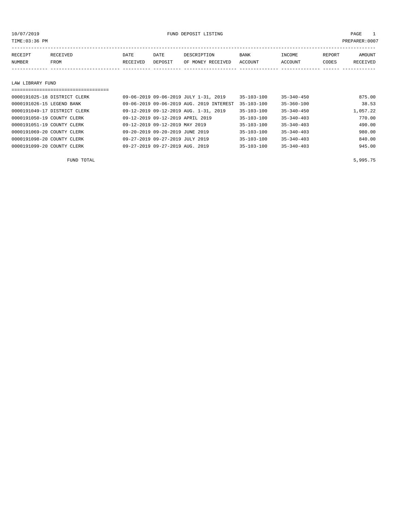10/07/2019 FUND DEPOSIT LISTING PAGE 1

| RECEIPT | RECEIVED | DATE     | DATE    | DESCRIPTION       | <b>BANK</b> | INCOME         | REPORT | <b>AMOUNT</b> |
|---------|----------|----------|---------|-------------------|-------------|----------------|--------|---------------|
| NUMBER  | FROM     | RECEIVED | DEPOSIT | OF MONEY RECEIVED | ACCOUNT     | <b>ACCOUNT</b> | CODES  | RECEIVED      |
|         |          |          |         |                   |             |                |        |               |
|         |          |          |         |                   |             |                |        |               |

#### LAW LIBRARY FUND

| ================================= |                                          |                  |                  |          |
|-----------------------------------|------------------------------------------|------------------|------------------|----------|
| 0000191025-18 DISTRICT CLERK      | 09-06-2019 09-06-2019 JULY 1-31, 2019    | 35-103-100       | $35 - 340 - 450$ | 875.00   |
| 0000191026-15 LEGEND BANK         | 09-06-2019 09-06-2019 AUG. 2019 INTEREST | $35 - 103 - 100$ | $35 - 360 - 100$ | 38.53    |
| 0000191049-17 DISTRICT CLERK      | 09-12-2019 09-12-2019 AUG. 1-31, 2019    | $35 - 103 - 100$ | $35 - 340 - 450$ | 1,057.22 |
| 0000191050-19 COUNTY CLERK        | 09-12-2019 09-12-2019 APRIL 2019         | $35 - 103 - 100$ | $35 - 340 - 403$ | 770.00   |
| 0000191051-19 COUNTY CLERK        | 09-12-2019 09-12-2019 MAY 2019           | 35-103-100       | $35 - 340 - 403$ | 490.00   |
| 0000191069-20 COUNTY CLERK        | 09-20-2019 09-20-2019 JUNE 2019          | $35 - 103 - 100$ | $35 - 340 - 403$ | 980.00   |
| 0000191098-20 COUNTY CLERK        | 09-27-2019 09-27-2019 JULY 2019          | $35 - 103 - 100$ | $35 - 340 - 403$ | 840.00   |
| 0000191099-20 COUNTY CLERK        | 09-27-2019 09-27-2019 AUG. 2019          | $35 - 103 - 100$ | $35 - 340 - 403$ | 945.00   |

 $FUND$  total  $5,995.75$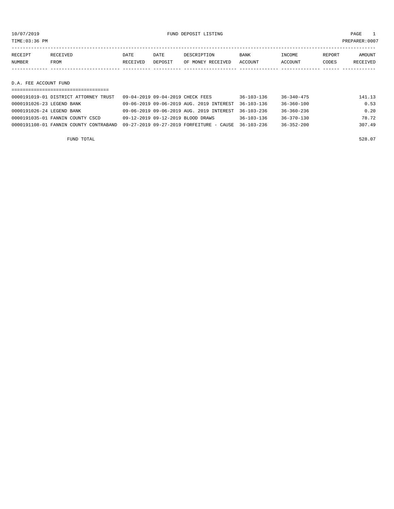10/07/2019 FUND DEPOSIT LISTING PAGE 1

| RECEIPT | RECEIVED | DATE     | DATE    | DESCRIPTION               | <b>BANK</b> | INCOME  | REPORT | AMOUNT   |
|---------|----------|----------|---------|---------------------------|-------------|---------|--------|----------|
| NUMBER  | FROM     | RECEIVED | DEPOSIT | OF MONEY RECEIVED ACCOUNT |             | ACCOUNT | CODES  | RECEIVED |
|         |          |          |         |                           |             |         |        |          |
|         |          |          |         |                           |             |         |        |          |

D.A. FEE ACCOUNT FUND

| ------------------------------------   |                                                     |                  |                  |        |
|----------------------------------------|-----------------------------------------------------|------------------|------------------|--------|
| 0000191019-01 DISTRICT ATTORNEY TRUST  | 09-04-2019 09-04-2019 CHECK FEES                    | $36 - 103 - 136$ | $36 - 340 - 475$ | 141.13 |
| 0000191026-23 LEGEND BANK              | 09-06-2019 09-06-2019 AUG. 2019 INTEREST 36-103-136 |                  | 36-360-100       | 0.53   |
| 0000191026-24 LEGEND BANK              | 09-06-2019 09-06-2019 AUG. 2019 INTEREST 36-103-236 |                  | 36-360-236       | 0.20   |
| 0000191035-01 FANNIN COUNTY CSCD       | 09-12-2019 09-12-2019 BLOOD DRAWS                   | $36 - 103 - 136$ | $36 - 370 - 130$ | 78.72  |
| 0000191108-01 FANNIN COUNTY CONTRABAND | 09-27-2019 09-27-2019 FORFEITURE - CAUSE            | $36 - 103 - 236$ | $36 - 352 - 200$ | 307.49 |
|                                        |                                                     |                  |                  |        |

FUND TOTAL 528.07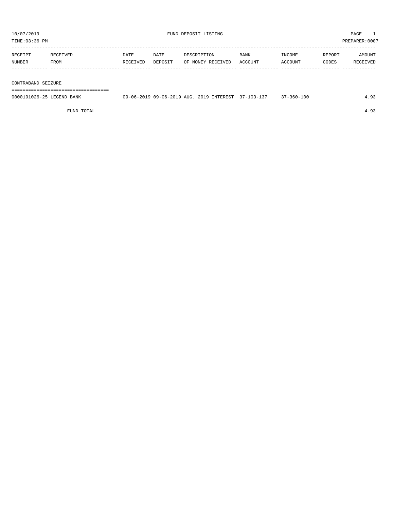| PREPARER: 0007<br>TIME:03:36 PM |                  |                  |                 |                                  |                        |                   |                 |                    |
|---------------------------------|------------------|------------------|-----------------|----------------------------------|------------------------|-------------------|-----------------|--------------------|
| RECEIPT<br>NUMBER               | RECEIVED<br>FROM | DATE<br>RECEIVED | DATE<br>DEPOSIT | DESCRIPTION<br>OF MONEY RECEIVED | <b>BANK</b><br>ACCOUNT | INCOME<br>ACCOUNT | REPORT<br>CODES | AMOUNT<br>RECEIVED |
| CONTRARAND SEIZURE              |                  |                  |                 |                                  |                        |                   |                 |                    |

CO<sub>3</sub>

===================================

| 0000191026-25 LEGEND BANK | 09-06-2019 09-06-2019 AUG. 2019 INTEREST 37-103-137 |  | $1 - 360 - 100$ |  |
|---------------------------|-----------------------------------------------------|--|-----------------|--|
|                           |                                                     |  |                 |  |

FUND TOTAL 4.93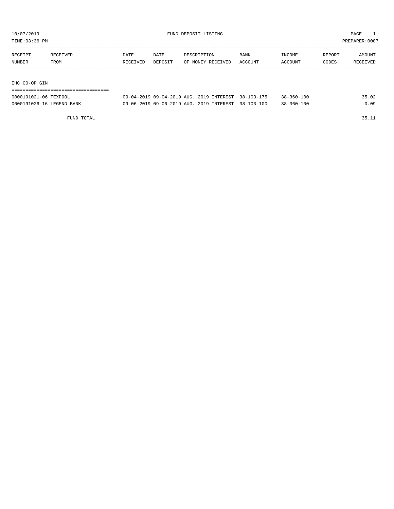TIME:03:36 PM PREPARER:0007

| RECEIPT       | RECEIVED | DATE     | DATE    | DESCRIPTION       | <b>BANK</b> | INCOME  | REPORT | AMOUNT   |
|---------------|----------|----------|---------|-------------------|-------------|---------|--------|----------|
| NUMBER        | FROM     | RECEIVED | DEPOSIT | OF MONEY RECEIVED | ACCOUNT     | ACCOUNT | CODES  | RECEIVED |
|               |          |          |         |                   |             |         |        |          |
|               |          |          |         |                   |             |         |        |          |
| IHC CO-OP GIN |          |          |         |                   |             |         |        |          |

| ================================= |  |  |                                                     |                  |       |
|-----------------------------------|--|--|-----------------------------------------------------|------------------|-------|
| 0000191021-06 TEXPOOL             |  |  | 09-04-2019 09-04-2019 AUG. 2019 INTEREST 38-103-175 | $38 - 360 - 100$ | 35.02 |
| 0000191026-16 LEGEND BANK         |  |  | 09-06-2019 09-06-2019 AUG. 2019 INTEREST 38-103-100 | 38-360-100       | 0.09  |

FUND TOTAL 35.11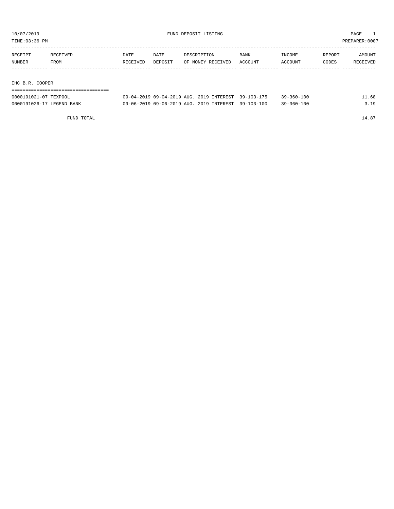TIME:03:36 PM PREPARER:0007

| RECEIPT | RECEIVED | DATE     | DATE    | DESCRIPTION       | <b>BANK</b> | INCOME  | REPORT | AMOUNT   |
|---------|----------|----------|---------|-------------------|-------------|---------|--------|----------|
| NUMBER  | FROM     | RECEIVED | DEPOSIT | OF MONEY RECEIVED | ACCOUNT     | ACCOUNT | CODES  | RECEIVED |
|         |          |          |         |                   |             |         |        |          |
|         |          |          |         |                   |             |         |        |          |

IHC B.R. COOPER

| --------------------------------- |  |  |                                                     |                  |       |
|-----------------------------------|--|--|-----------------------------------------------------|------------------|-------|
| 0000191021-07 TEXPOOL             |  |  | 09-04-2019 09-04-2019 AUG. 2019 INTEREST 39-103-175 | $39 - 360 - 100$ | 11.68 |
| 0000191026-17 LEGEND BANK         |  |  | 09-06-2019 09-06-2019 AUG. 2019 INTEREST 39-103-100 | $39 - 360 - 100$ | 3.19  |

FUND TOTAL  $14.87$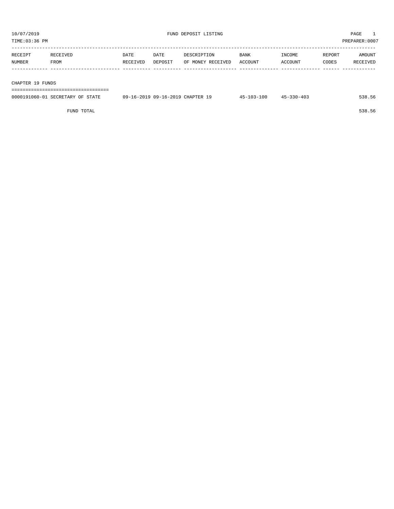TIME:03:36 PM PREPARER:0007

| RECEIPT | RECEIVED | <b>DATE</b> | DATE    | DESCRIPTION       | <b>BANK</b> | INCOME  | REPORT | AMOUNT   |
|---------|----------|-------------|---------|-------------------|-------------|---------|--------|----------|
| NUMBER  | FROM     | RECEIVED    | DEPOSIT | OF MONEY RECEIVED | ACCOUNT     | ACCOUNT | CODES  | RECEIVED |
|         |          |             |         |                   |             |         |        |          |
|         |          |             |         |                   |             |         |        |          |

#### CHAPTER 19 FUNDS

===================================

| 0000191060-01 SECRETARY OF<br>STATE | 09-16-2019 09-16-2019 CHAPTER 19 | $45 - 103 - 100$ | $45 - 330 - 403$ | 538.56 |
|-------------------------------------|----------------------------------|------------------|------------------|--------|
|                                     |                                  |                  |                  |        |

FUND TOTAL 538.56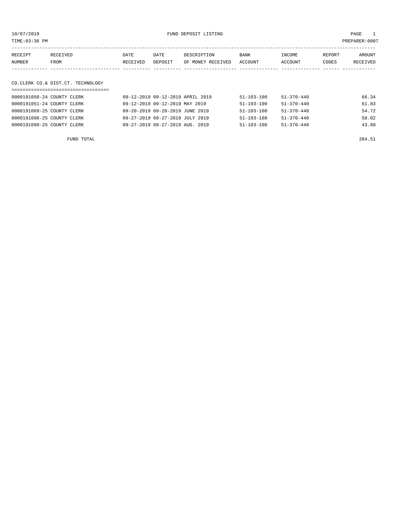| TIME:03:36 PM     |                                   |                  |                 |                                  |                        |                   |                 | PREPARER: 0007     |
|-------------------|-----------------------------------|------------------|-----------------|----------------------------------|------------------------|-------------------|-----------------|--------------------|
| RECEIPT<br>NUMBER | RECEIVED<br>FROM                  | DATE<br>RECEIVED | DATE<br>DEPOSIT | DESCRIPTION<br>OF MONEY RECEIVED | <b>BANK</b><br>ACCOUNT | INCOME<br>ACCOUNT | REPORT<br>CODES | AMOUNT<br>RECEIVED |
|                   |                                   |                  |                 |                                  |                        |                   |                 |                    |
|                   | CO.CLERK CO.& DIST.CT. TECHNOLOGY |                  |                 |                                  |                        |                   |                 |                    |
|                   |                                   |                  |                 |                                  |                        |                   |                 |                    |
|                   | 0000191050-24 COUNTY CLERK        |                  |                 | 09-12-2019 09-12-2019 APRIL 2019 | $51 - 103 - 100$       | $51 - 370 - 440$  |                 | 66.34              |

| UUUULSIUSUTAT CUUNII CHARA | USTIZTZUIS USTIZTZUIS APRILI ZUIS | 21-TAS-TAG       | コエーコ ハリー せせい     | <b>00.</b> 54 |
|----------------------------|-----------------------------------|------------------|------------------|---------------|
| 0000191051-24 COUNTY CLERK | 09-12-2019 09-12-2019 MAY 2019    | 51-103-100       | 51-370-440       | 61.83         |
| 0000191069-25 COUNTY CLERK | 09-20-2019 09-20-2019 JUNE 2019   | 51-103-100       | 51-370-440       | 54.72         |
| 0000191098-25 COUNTY CLERK | 09-27-2019 09-27-2019 JULY 2019   | 51-103-100       | 51-370-440       | 58.02         |
| 0000191099-25 COUNTY CLERK | 09-27-2019 09-27-2019 AUG. 2019   | $51 - 103 - 100$ | $51 - 370 - 440$ | 43.60         |
|                            |                                   |                  |                  |               |
|                            |                                   |                  |                  |               |

FUND TOTAL 284.51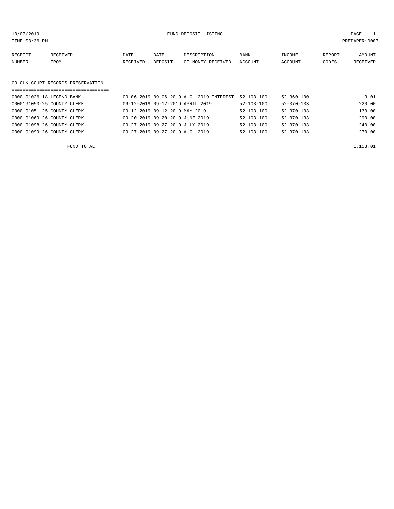10/07/2019 FUND DEPOSIT LISTING PAGE 1

| RECEIPT | RECEIVED | DATE     | DATE    | DESCRIPTION       | <b>BANK</b> | INCOME  | REPORT | AMOUNT          |
|---------|----------|----------|---------|-------------------|-------------|---------|--------|-----------------|
| NUMBER  | FROM     | RECEIVED | DEPOSIT | OF MONEY RECEIVED | ACCOUNT     | ACCOUNT | CODES  | <b>RECEIVED</b> |
|         |          |          |         |                   |             |         |        |                 |

# CO.CLK.COURT RECORDS PRESERVATION

| 0000191026-18 LEGEND BANK  | 09-06-2019 09-06-2019 AUG. 2019 INTEREST | $52 - 103 - 100$ | $52 - 360 - 100$ | 3.01   |
|----------------------------|------------------------------------------|------------------|------------------|--------|
| 0000191050-25 COUNTY CLERK | 09-12-2019 09-12-2019 APRIL 2019         | $52 - 103 - 100$ | $52 - 370 - 133$ | 220.00 |
| 0000191051-25 COUNTY CLERK | 09-12-2019 09-12-2019 MAY 2019           | $52 - 103 - 100$ | $52 - 370 - 133$ | 130.00 |
| 0000191069-26 COUNTY CLERK | 09-20-2019 09-20-2019 JUNE 2019          | $52 - 103 - 100$ | $52 - 370 - 133$ | 290.00 |
| 0000191098-26 COUNTY CLERK | 09-27-2019 09-27-2019 JULY 2019          | $52 - 103 - 100$ | $52 - 370 - 133$ | 240.00 |
| 0000191099-26 COUNTY CLERK | 09-27-2019 09-27-2019 AUG. 2019          | $52 - 103 - 100$ | $52 - 370 - 133$ | 270.00 |
|                            |                                          |                  |                  |        |

FUND TOTAL  $1,153.01$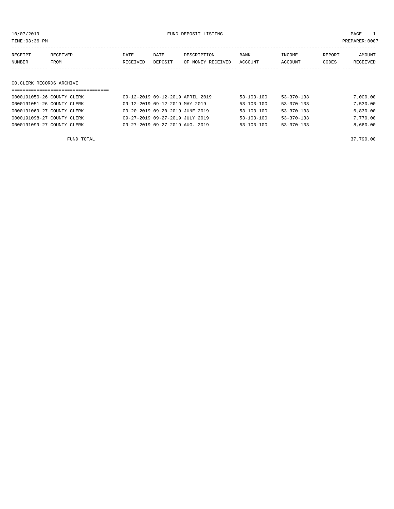| TIME:03:36 PM            |                            |          |                                  |                   |                  |                  |        | PREPARER:0007 |
|--------------------------|----------------------------|----------|----------------------------------|-------------------|------------------|------------------|--------|---------------|
| RECEIPT                  | RECEIVED                   | DATE     | DATE                             | DESCRIPTION       | <b>BANK</b>      | INCOME           | REPORT | AMOUNT        |
| <b>NUMBER</b>            | FROM                       | RECEIVED | DEPOSIT                          | OF MONEY RECEIVED | ACCOUNT          | ACCOUNT          | CODES  | RECEIVED      |
|                          |                            |          |                                  |                   |                  |                  |        |               |
| CO.CLERK RECORDS ARCHIVE |                            |          |                                  |                   |                  |                  |        |               |
|                          |                            |          |                                  |                   |                  |                  |        |               |
|                          | 0000191050-26 COUNTY CLERK |          | 09-12-2019 09-12-2019 APRIL 2019 |                   | $53 - 103 - 100$ | $53 - 370 - 133$ |        | 7,000.00      |
|                          | 0000191051-26 COUNTY CLERK |          | 09-12-2019 09-12-2019 MAY 2019   |                   | $53 - 103 - 100$ | $53 - 370 - 133$ |        | 7,530.00      |
|                          | 0000191069-27 COUNTY CLERK |          | 09-20-2019 09-20-2019 JUNE 2019  |                   | $53 - 103 - 100$ | $53 - 370 - 133$ |        | 6.830.00      |

0000191098-27 COUNTY CLERK 09-27-2019 09-27-2019 JULY 2019 53-103-100 53-370-133 7,770.00 0000191099-27 COUNTY CLERK 09-27-2019 09-27-2019 AUG. 2019 53-103-100 53-370-133 8,660.00

FUND TOTAL 37,790.00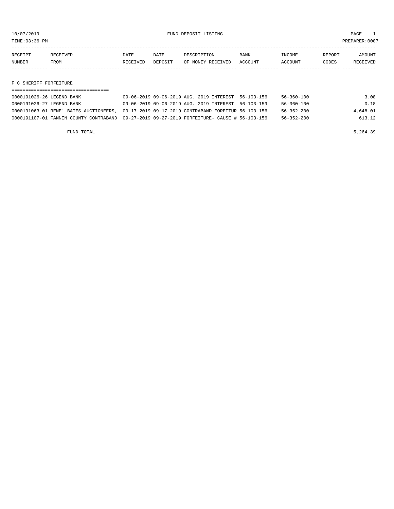TIME:03:36 PM PREPARER:0007

| RECEIPT | <b>RECEIVED</b> | DATE     | DATE           | DE SCR T PT TON   | <b>BANK</b> | NCOME <sup></sup> | REPORT | NMOUNT          |
|---------|-----------------|----------|----------------|-------------------|-------------|-------------------|--------|-----------------|
| NUMBER  | FROM            | RECEIVED | <b>DEPOSTT</b> | OF MONEY RECEIVED | ACCOUNT     | <b>ACCOUNT</b>    | CODES  | <b>RECEIVED</b> |
|         |                 |          |                |                   |             |                   |        |                 |

F C SHERIFF FORFEITURE

| 0000191026-26 LEGEND BANK              | 09-06-2019 09-06-2019 AUG. 2019 INTEREST 56-103-156                                         | 3.08<br>56-360-100           |
|----------------------------------------|---------------------------------------------------------------------------------------------|------------------------------|
| 0000191026-27 LEGEND BANK              | 09-06-2019 09-06-2019 AUG. 2019 INTEREST 56-103-159                                         | 0.18<br>$56 - 360 - 100$     |
| 0000191063-01 RENE' BATES AUCTIONEERS. | 09-17-2019 09-17-2019 CONTRABAND FOREITUR 56-103-156                                        | $56 - 352 - 200$<br>4,648.01 |
|                                        | 0000191107-01 FANNIN COUNTY CONTRABAND 09-27-2019 09-27-2019 FORFEITURE- CAUSE # 56-103-156 | 613.12<br>56-352-200         |

FUND TOTAL  $5,264.39$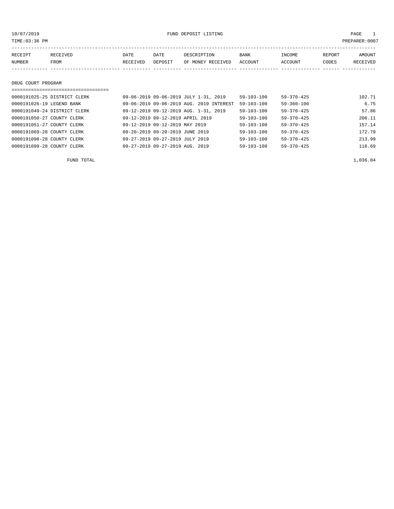10/07/2019 FUND DEPOSIT LISTING PAGE 1

| RECEIPT       | RECEIVED | DATE     | DATE    | DESCRIPTION       | <b>BANK</b> | INCOME  | REPORT | AMOUNT          |
|---------------|----------|----------|---------|-------------------|-------------|---------|--------|-----------------|
| <b>NUMBER</b> | FROM     | RECEIVED | DEPOSIT | OF MONEY RECEIVED | ACCOUNT     | ACCOUNT | CODES  | <b>RECEIVED</b> |
|               |          |          |         |                   |             |         |        |                 |

DRUG COURT PROGRAM

| ================================ |                                             |                  |                  |        |
|----------------------------------|---------------------------------------------|------------------|------------------|--------|
| 0000191025-25 DISTRICT CLERK     | 09-06-2019 09-06-2019 JULY 1-31, 2019       | $59 - 103 - 100$ | $59 - 370 - 425$ | 102.71 |
| 0000191026-19 LEGEND BANK        | 09-06-2019 09-06-2019 AUG. 2019 INTEREST    | $59 - 103 - 100$ | $59 - 360 - 100$ | 6.75   |
| 0000191049-24 DISTRICT CLERK     | 09-12-2019 09-12-2019 AUG. 1-31, 2019       | $59 - 103 - 100$ | $59 - 370 - 425$ | 57.86  |
| 0000191050-27 COUNTY CLERK       | 09-12-2019 09-12-2019 APRIL 2019            | $59 - 103 - 100$ | $59 - 370 - 425$ | 206.11 |
| 0000191051-27 COUNTY CLERK       | 09-12-2019 09-12-2019 MAY 2019              | $59 - 103 - 100$ | $59 - 370 - 425$ | 157.14 |
| 0000191069-28 COUNTY CLERK       | 09-20-2019 09-20-2019 JUNE 2019             | $59 - 103 - 100$ | $59 - 370 - 425$ | 172.79 |
| 0000191098-28 COUNTY CLERK       | 09-27-2019 09-27-2019 JULY 2019             | $59 - 103 - 100$ | $59 - 370 - 425$ | 213.99 |
| 0000191099-28 COUNTY CLERK       | $09 - 27 - 2019$ $09 - 27 - 2019$ AUG. 2019 | $59 - 103 - 100$ | $59 - 370 - 425$ | 118.69 |

FUND TOTAL  $1,036.04$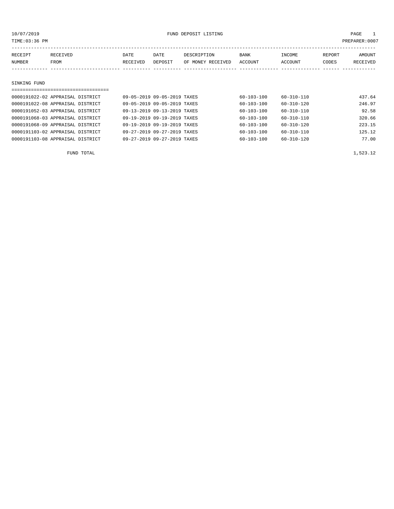|         | TIME:03:36 PM |                                  |          |                             |                   |                  |                  |        | PREPARER: 0007 |
|---------|---------------|----------------------------------|----------|-----------------------------|-------------------|------------------|------------------|--------|----------------|
| RECEIPT |               | RECEIVED                         | DATE     | DATE                        | DESCRIPTION       | <b>BANK</b>      | INCOME           | REPORT | AMOUNT         |
| NUMBER  |               | FROM                             | RECEIVED | DEPOSIT                     | OF MONEY RECEIVED | ACCOUNT          | ACCOUNT          | CODES  | RECEIVED       |
|         |               |                                  |          |                             |                   |                  |                  |        |                |
|         |               |                                  |          |                             |                   |                  |                  |        |                |
|         | SINKING FUND  |                                  |          |                             |                   |                  |                  |        |                |
|         |               |                                  |          |                             |                   |                  |                  |        |                |
|         |               | 0000191022-02 APPRAISAL DISTRICT |          | 09-05-2019 09-05-2019 TAXES |                   | $60 - 103 - 100$ | $60 - 310 - 110$ |        | 437.64         |
|         |               | 0000191022-08 APPRAISAL DISTRICT |          | 09-05-2019 09-05-2019 TAXES |                   | $60 - 103 - 100$ | 60-310-120       |        | 246.97         |
|         |               | 0000191052-03 APPRAISAL DISTRICT |          | 09-13-2019 09-13-2019 TAXES |                   | $60 - 103 - 100$ | $60 - 310 - 110$ |        | 92.58          |

| 0000191068-03 APPRAISAL DISTRICT | 09-19-2019 09-19-2019 TAXES | 60-103-100<br>60-310-110             | 320.66 |
|----------------------------------|-----------------------------|--------------------------------------|--------|
| 0000191068-09 APPRAISAL DISTRICT | 09-19-2019 09-19-2019 TAXES | 60-103-100<br>60-310-120             | 223.15 |
| 0000191103-02 APPRAISAL DISTRICT | 09-27-2019 09-27-2019 TAXES | 60-103-100<br>60-310-110             | 125.12 |
| 0000191103-08 APPRAISAL DISTRICT | 09-27-2019 09-27-2019 TAXES | $60 - 103 - 100$<br>$60 - 310 - 120$ | 77.00  |

FUND TOTAL  $1,523.12$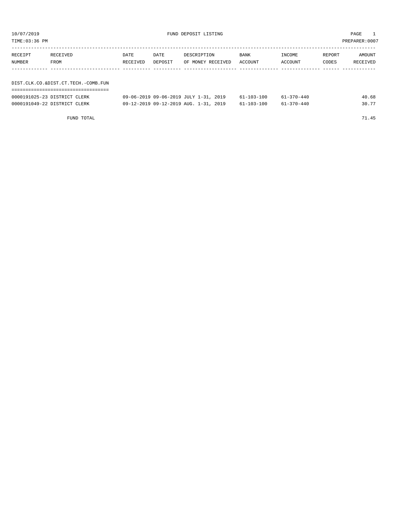| TIME:03:36 PM |                                     |          |         |                   |             |         |        | PREPARER:0007 |
|---------------|-------------------------------------|----------|---------|-------------------|-------------|---------|--------|---------------|
|               |                                     |          |         |                   |             |         |        |               |
| RECEIPT       | RECEIVED                            | DATE     | DATE    | DESCRIPTION       | <b>BANK</b> | INCOME  | REPORT | AMOUNT        |
| NUMBER        | FROM                                | RECEIVED | DEPOSIT | OF MONEY RECEIVED | ACCOUNT     | ACCOUNT | CODES  | RECEIVED      |
|               |                                     |          |         |                   |             |         |        |               |
|               |                                     |          |         |                   |             |         |        |               |
|               | DIST.CLK.CO.&DIST.CT.TECH.-COMB.FUN |          |         |                   |             |         |        |               |
|               | ----------------------------------- |          |         |                   |             |         |        |               |
|               |                                     |          |         |                   |             | .       |        | .             |

| 0000191025-23 DISTRICT CLERK | 09-06-2019 09-06-2019 JULY 1-31, 2019 | $61 - 103 - 100$ | $61 - 370 - 440$ | 40.68 |
|------------------------------|---------------------------------------|------------------|------------------|-------|
| 0000191049-22 DISTRICT CLERK | 09-12-2019 09-12-2019 AUG. 1-31, 2019 | $61 - 103 - 100$ | $61 - 370 - 440$ |       |

FUND TOTAL 71.45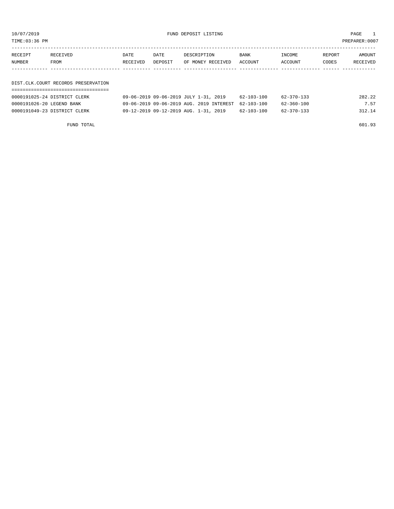10/07/2019 FUND DEPOSIT LISTING PAGE 1

| RECEIPT | DATE<br>RECEIVED<br>DATE            |          | DESCRIPTION<br><b>BANK</b> |                   | INCOME  | REPORT  | AMOUNT |          |  |
|---------|-------------------------------------|----------|----------------------------|-------------------|---------|---------|--------|----------|--|
| NUMBER  | FROM                                | RECEIVED | DEPOSIT                    | OF MONEY RECEIVED | ACCOUNT | ACCOUNT | CODES  | RECEIVED |  |
|         |                                     |          |                            |                   |         |         |        |          |  |
|         |                                     |          |                            |                   |         |         |        |          |  |
|         | DIST.CLK.COURT RECORDS PRESERVATION |          |                            |                   |         |         |        |          |  |
|         |                                     |          |                            |                   |         |         |        |          |  |

| 0000191025-24 DISTRICT CLERK | 09-06-2019 09-06-2019 JULY 1-31, 2019               | 62-103-100 | 62-370-133 | 282.22 |
|------------------------------|-----------------------------------------------------|------------|------------|--------|
| 0000191026-20 LEGEND BANK    | 09-06-2019 09-06-2019 AUG. 2019 INTEREST 62-103-100 |            | 62-360-100 | 7.57   |
| 0000191049-23 DISTRICT CLERK | 09-12-2019 09-12-2019 AUG. 1-31, 2019               | 62-103-100 | 62-370-133 | 312.14 |
|                              |                                                     |            |            |        |

FUND TOTAL 601.93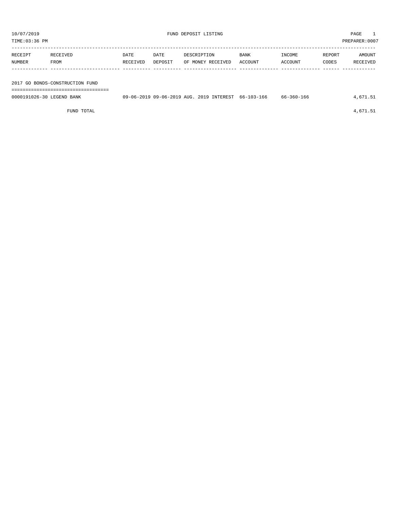| TIME:03:36 PM             |                                 |                  |                 |                                                     |                 |                   |                 | PREPARER:0007      |
|---------------------------|---------------------------------|------------------|-----------------|-----------------------------------------------------|-----------------|-------------------|-----------------|--------------------|
| RECEIPT<br>NUMBER         | RECEIVED<br>FROM                | DATE<br>RECEIVED | DATE<br>DEPOSIT | DESCRIPTION<br>OF MONEY RECEIVED                    | BANK<br>ACCOUNT | INCOME<br>ACCOUNT | REPORT<br>CODES | AMOUNT<br>RECEIVED |
|                           |                                 |                  |                 |                                                     |                 |                   |                 |                    |
|                           | 2017 GO BONDS-CONSTRUCTION FUND |                  |                 |                                                     |                 |                   |                 |                    |
|                           |                                 |                  |                 |                                                     |                 |                   |                 |                    |
| 0000191026-30 LEGEND BANK |                                 |                  |                 | 09-06-2019 09-06-2019 AUG. 2019 INTEREST 66-103-166 |                 | 66-360-166        |                 | 4,671.51           |

FUND TOTAL  $4,671.51$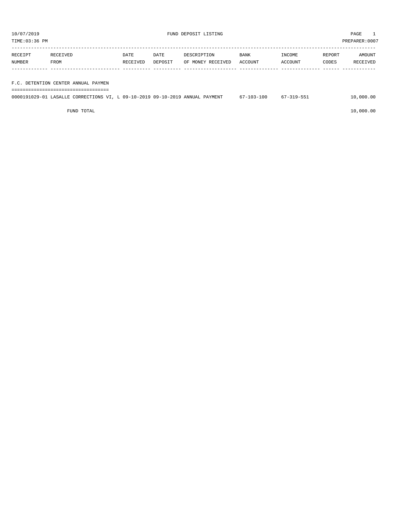PREPARER:0007

| 10/07/2019<br>TIME:03:36 PM |                                     |          |         | FUND DEPOSIT LISTING | PAGE<br>$\mathbf{1}$<br>PREPARER: 0007 |         |        |          |
|-----------------------------|-------------------------------------|----------|---------|----------------------|----------------------------------------|---------|--------|----------|
|                             |                                     |          |         |                      |                                        |         |        |          |
| RECEIPT                     | RECEIVED                            | DATE     | DATE    | DESCRIPTION          | <b>BANK</b>                            | INCOME  | REPORT | AMOUNT   |
| NUMBER                      | FROM                                | RECEIVED | DEPOSIT | OF MONEY RECEIVED    | ACCOUNT                                | ACCOUNT | CODES  | RECEIVED |
|                             |                                     |          |         |                      |                                        |         |        |          |
|                             |                                     |          |         |                      |                                        |         |        |          |
|                             | F.C. DETENTION CENTER ANNUAL PAYMEN |          |         |                      |                                        |         |        |          |

===================================

|  | 0000191029-01 LASALLE CORRECTIONS VI, L 09-10-2019 09-10-2019 ANNUAL PAYMENT |  |  | 67-103-100 | 67-319-551 | 10,000.00 |
|--|------------------------------------------------------------------------------|--|--|------------|------------|-----------|
|  |                                                                              |  |  |            |            |           |

 $FUND$  to the contract of  $10,000.00$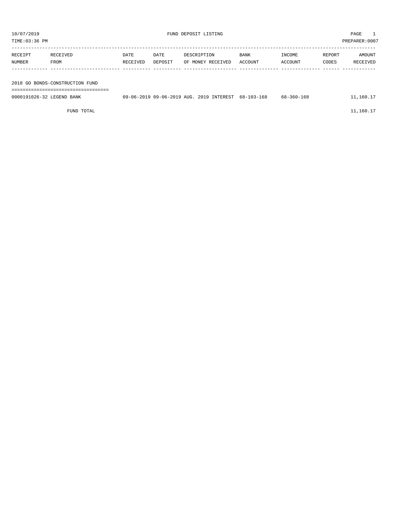| TIME:03:36 PM<br>PREPARER:0007 |                                 |                  |                 |             |                                          |                 |                   |                 |                    |  |
|--------------------------------|---------------------------------|------------------|-----------------|-------------|------------------------------------------|-----------------|-------------------|-----------------|--------------------|--|
| RECEIPT<br>NUMBER              | RECEIVED<br>FROM                | DATE<br>RECEIVED | DATE<br>DEPOSIT | DESCRIPTION | OF MONEY RECEIVED                        | BANK<br>ACCOUNT | INCOME<br>ACCOUNT | REPORT<br>CODES | AMOUNT<br>RECEIVED |  |
|                                | 2018 GO BONDS-CONSTRUCTION FUND |                  |                 |             |                                          |                 |                   |                 |                    |  |
| 0000191026-32 LEGEND BANK      | ------------------------------- |                  |                 |             | 09-06-2019 09-06-2019 AUG. 2019 INTEREST | 68-103-168      | 68-360-168        |                 | 11,160.17          |  |

FUND TOTAL  $11,160.17$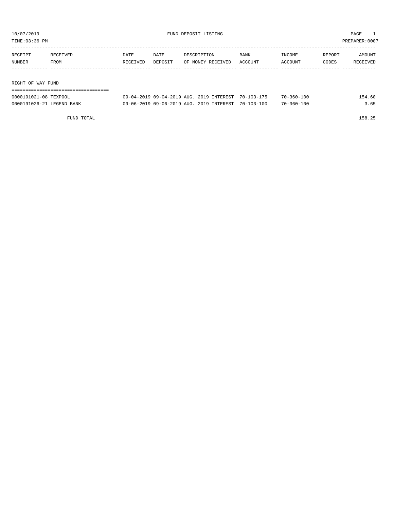TIME:03:36 PM PREPARER:0007

| RECEIPT | RECEIVED          | DATE     | DATE    | DESCRIPTION       | BANK    | INCOME  | REPORT | AMOUNT   |  |  |  |
|---------|-------------------|----------|---------|-------------------|---------|---------|--------|----------|--|--|--|
| NUMBER  | FROM              | RECEIVED | DEPOSIT | OF MONEY RECEIVED | ACCOUNT | ACCOUNT | CODES  | RECEIVED |  |  |  |
|         |                   |          |         |                   |         |         |        |          |  |  |  |
|         |                   |          |         |                   |         |         |        |          |  |  |  |
|         | RIGHT OF WAY FUND |          |         |                   |         |         |        |          |  |  |  |
|         |                   |          |         |                   |         |         |        |          |  |  |  |

| 0000191021-08 TEXPOOL     | 09-04-2019 09-04-2019 AUG. 2019 INTEREST 70-103-175 | $70 - 360 - 100$ | 154.60 |
|---------------------------|-----------------------------------------------------|------------------|--------|
| 0000191026-21 LEGEND BANK | 09-06-2019 09-06-2019 AUG. 2019 INTEREST 70-103-100 | 70-360-100       | 3.65   |

FUND TOTAL 158.25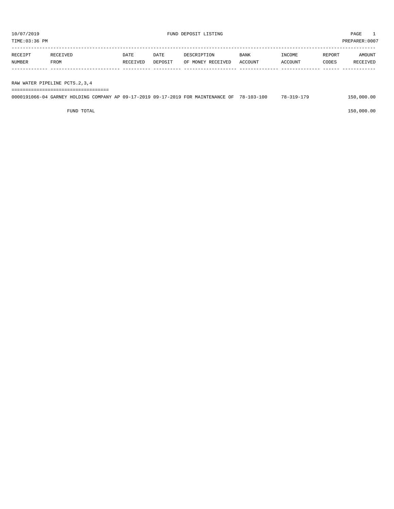TIME:03:36 PM PREPARER:0007

| RECEIPT | RECEIVED    | DATE     | DATE    | DESCRIPTION       | <b>BANK</b> | INCOME         | REPORT | AMOUNT   |
|---------|-------------|----------|---------|-------------------|-------------|----------------|--------|----------|
| NUMBER  | <b>FROM</b> | RECEIVED | DEPOSIT | OF MONEY RECEIVED | ACCOUNT     | <b>ACCOUNT</b> | CODES  | RECEIVED |
|         |             |          |         |                   |             |                |        |          |

RAW WATER PIPELINE PCTS.2,3,4

| 0000191066-04 GARNEY HOLDING COMPANY AP 09-17-2019 09-17-2019 FOR MAINTENANCE OF 78-103-100 |  |  | 78-319-179 | 150,000.00 |
|---------------------------------------------------------------------------------------------|--|--|------------|------------|
|                                                                                             |  |  |            |            |

 $FUND$  to the contract of  $150,000.00$ 

===================================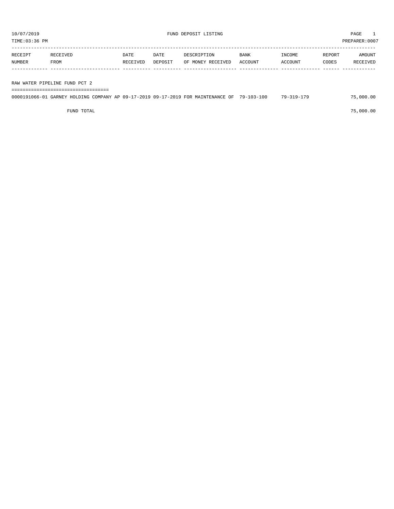TIME:03:36 PM PREPARER:0007

| RECEIPT | RECEIVED | DATE     | DATE    | DESCRIPTION       | <b>BANK</b> | INCOME  | REPORT | AMOUNT   |
|---------|----------|----------|---------|-------------------|-------------|---------|--------|----------|
| NUMBER  | FROM     | RECEIVED | DEPOSIT | OF MONEY RECEIVED | ACCOUNT     | ACCOUNT | CODES  | RECEIVED |
|         |          |          |         |                   |             |         |        |          |
|         |          |          |         |                   |             |         |        |          |

RAW WATER PIPELINE FUND PCT 2

| ---------------------------- |  |                                                                                             |  |            |           |  |  |  |  |  |
|------------------------------|--|---------------------------------------------------------------------------------------------|--|------------|-----------|--|--|--|--|--|
|                              |  | 0000191066-01 GARNEY HOLDING COMPANY AP 09-17-2019 09-17-2019 FOR MAINTENANCE OF 79-103-100 |  | 70-310-170 | 75.000.00 |  |  |  |  |  |

 $FUND$  total  $75,000.00$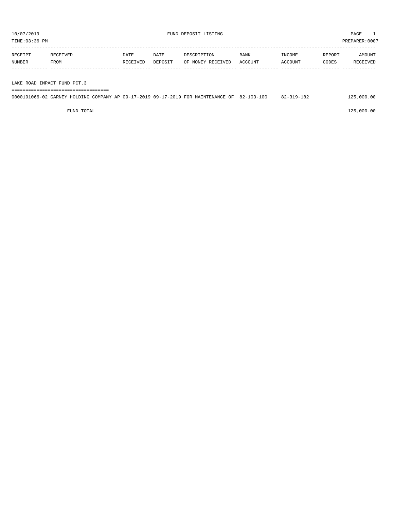| TIME:03:36 PM |          |          |         |                   |         |         |        | PREPARER:0007 |
|---------------|----------|----------|---------|-------------------|---------|---------|--------|---------------|
| RECEIPT       | RECEIVED | DATE     | DATE    | DESCRIPTION       | BANK    | INCOME  | REPORT | AMOUNT        |
| NUMBER        | FROM     | RECEIVED | DEPOSIT | OF MONEY RECEIVED | ACCOUNT | ACCOUNT | CODES  | RECEIVED      |
|               |          |          |         |                   |         |         |        |               |
|               |          |          |         |                   |         |         |        |               |

| 0000191066-02 GARNEY HOLDING COMPANY AP 09-17-2019 09-17-2019 FOR MAINTENANCE OF 82-103-100 |  |  | 82-319-182 | 125,000.00 |
|---------------------------------------------------------------------------------------------|--|--|------------|------------|
|                                                                                             |  |  |            |            |

 $FUND$  total  $125,000.00$ 

LAKE ROAD IMPACT FUND PCT.3 ===================================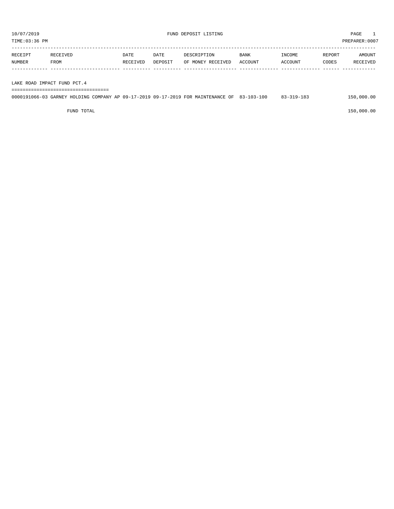| RECEIPT | RECEIVED | DATE     | DATE    | DESCRIPTION       | <b>BANK</b> | INCOME  | REPORT | AMOUNT   |
|---------|----------|----------|---------|-------------------|-------------|---------|--------|----------|
| NUMBER  | FROM     | RECEIVED | DEPOSIT | OF MONEY RECEIVED | ACCOUNT     | ACCOUNT | CODES  | RECEIVED |
|         |          |          |         |                   |             |         |        |          |
|         |          |          |         |                   |             |         |        |          |

LAKE ROAD IMPACT FUND PCT.4

| -------------------------------------<br>----------------------------------- |  |
|------------------------------------------------------------------------------|--|
|                                                                              |  |

|  |  | 0000191066-03 GARNEY HOLDING COMPANY AP 09-17-2019 09-17-2019 FOR MAINTENANCE OF 83-103-100 | 83-319-183 | 150,000.00 |
|--|--|---------------------------------------------------------------------------------------------|------------|------------|
|  |  |                                                                                             |            |            |

 $FUND$  to the contract of  $150,000.00$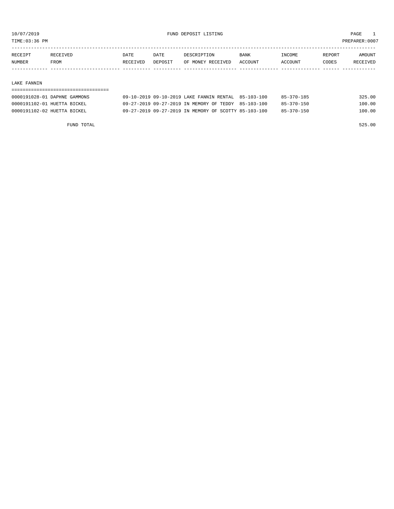TIME:03:36 PM PREPARER:0007

| RECEIPT | <b>RECEIVED</b> | DATE            | DATE    | DESCRIPTION       | <b>BANK</b>    | <b>INCOME</b> | REPORT | AMOUNT          |
|---------|-----------------|-----------------|---------|-------------------|----------------|---------------|--------|-----------------|
| NUMBER  | <b>FROM</b>     | <b>RECEIVED</b> | DEPOSIT | OF MONEY RECEIVED | <b>ACCOUNT</b> | ACCOUNT       | CODES  | <b>RECEIVED</b> |
|         |                 |                 |         |                   |                |               |        |                 |

#### LAKE FANNIN

| 0000191028-01 DAPHNE GAMMONS |  | 09-10-2019 09-10-2019 LAKE FANNIN RENTAL 85-103-100  | 85-370-185       | 325.00 |
|------------------------------|--|------------------------------------------------------|------------------|--------|
| 0000191102-01 HUETTA BICKEL  |  | 09-27-2019 09-27-2019 IN MEMORY OF TEDDY 85-103-100  | $85 - 370 - 150$ | 100.00 |
| 0000191102-02 HUETTA BICKEL  |  | 09-27-2019 09-27-2019 IN MEMORY OF SCOTTY 85-103-100 | 85-370-150       | 100.00 |
|                              |  |                                                      |                  |        |

FUND TOTAL 525.00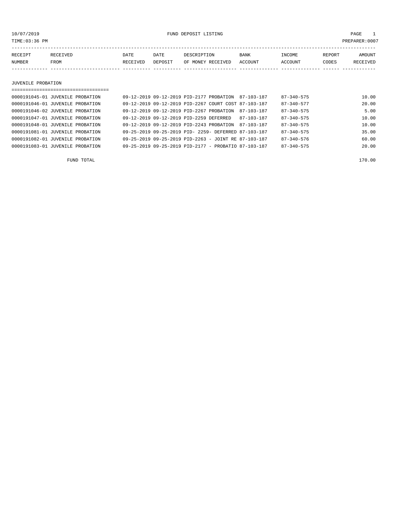10/07/2019 FUND DEPOSIT LISTING PAGE 1

| RECEIPT | RECEIVED | DATE     | DATE    | DESCRIPTION       | <b>BANK</b> | INCOME  | <b>REPORT</b> | AMOUNT          |
|---------|----------|----------|---------|-------------------|-------------|---------|---------------|-----------------|
| NUMBER  | FROM     | RECEIVED | DEPOSIT | OF MONEY RECEIVED | ACCOUNT     | ACCOUNT | CODES         | <b>RECEIVED</b> |
|         |          |          |         |                   |             |         |               |                 |

JUVENILE PROBATION

| =================================== |                                                      |  |                                                      |                  |       |
|-------------------------------------|------------------------------------------------------|--|------------------------------------------------------|------------------|-------|
| 0000191045-01 JUVENILE PROBATION    | 09-12-2019 09-12-2019 PID-2177 PROBATION             |  | 87-103-187                                           | $87 - 340 - 575$ | 10.00 |
| 0000191046-01 JUVENILE PROBATION    |                                                      |  | 09-12-2019 09-12-2019 PID-2267 COURT COST 87-103-187 | $87 - 340 - 577$ | 20.00 |
| 0000191046-02 JUVENILE PROBATION    | 09-12-2019 09-12-2019 PID-2267 PROBATION             |  | 87-103-187                                           | $87 - 340 - 575$ | 5.00  |
| 0000191047-01 JUVENILE PROBATION    | 09-12-2019 09-12-2019 PID-2259 DEFERRED              |  | $87 - 103 - 187$                                     | $87 - 340 - 575$ | 10.00 |
| 0000191048-01 JUVENILE PROBATION    | 09-12-2019 09-12-2019 PID-2243 PROBATION             |  | 87-103-187                                           | $87 - 340 - 575$ | 10.00 |
| 0000191081-01 JUVENILE PROBATION    | 09-25-2019 09-25-2019 PID- 2259- DEFERRED 87-103-187 |  |                                                      | $87 - 340 - 575$ | 35.00 |
| 0000191082-01 JUVENILE PROBATION    | 09-25-2019 09-25-2019 PID-2263 - JOINT RE 87-103-187 |  |                                                      | $87 - 340 - 576$ | 60.00 |
| 0000191083-01 JUVENILE PROBATION    | 09-25-2019 09-25-2019 PID-2177 - PROBATIO 87-103-187 |  |                                                      | $87 - 340 - 575$ | 20.00 |

FUND TOTAL 170.00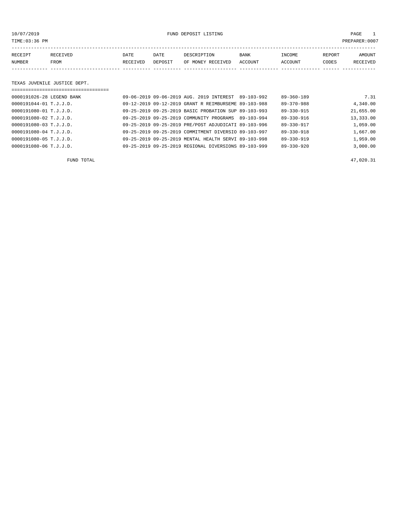10/07/2019 FUND DEPOSIT LISTING PAGE 1

| RECEIPT | RECEIVED | DATE     | DATE    | DESCRIPTION       | <b>BANK</b> | INCOME  | <b>REPORT</b> | AMOUNT          |
|---------|----------|----------|---------|-------------------|-------------|---------|---------------|-----------------|
| NUMBER  | FROM     | RECEIVED | DEPOSIT | OF MONEY RECEIVED | ACCOUNT     | ACCOUNT | CODES         | <b>RECEIVED</b> |
|         |          |          |         |                   |             |         |               |                 |

#### TEXAS JUVENILE JUSTICE DEPT.

| 0000191026-28 LEGEND BANK  |  | 09-06-2019 09-06-2019 AUG. 2019 INTEREST             | 89-103-992 | $89 - 360 - 189$ | 7.31      |
|----------------------------|--|------------------------------------------------------|------------|------------------|-----------|
| 0000191044-01 T.J.J.D.     |  | 09-12-2019 09-12-2019 GRANT R REIMBURSEME 89-103-988 |            | $89 - 370 - 988$ | 4,340.00  |
| $0000191080 - 01$ T.J.J.D. |  | 09-25-2019 09-25-2019 BASIC PROBATION SUP 89-103-993 |            | $89 - 330 - 915$ | 21,655.00 |
| $0000191080 - 02$ T.J.J.D. |  | 09-25-2019 09-25-2019 COMMUNITY PROGRAMS             | 89-103-994 | $89 - 330 - 916$ | 13,333.00 |
| $0000191080 - 03$ T.J.J.D. |  | 09-25-2019 09-25-2019 PRE/POST ADJUDICATI 89-103-996 |            | $89 - 330 - 917$ | 1,059.00  |
| $0000191080 - 04$ T.J.J.D. |  | 09-25-2019 09-25-2019 COMMITMENT DIVERSIO 89-103-997 |            | $89 - 330 - 918$ | 1,667.00  |
| $0000191080 - 05$ T.J.J.D. |  | 09-25-2019 09-25-2019 MENTAL HEALTH SERVI 89-103-998 |            | $89 - 330 - 919$ | 1,959.00  |
| $0000191080 - 06$ T.J.J.D. |  | 09-25-2019 09-25-2019 REGIONAL DIVERSIONS 89-103-999 |            | $89 - 330 - 920$ | 3,000.00  |

FUND TOTAL  $47,020.31$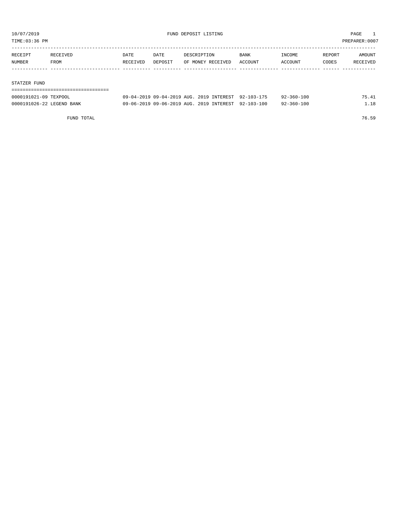TIME:03:36 PM PREPARER:0007

| RECEIPT | RECEIVED | DATE     | DATE    | DESCRIPTION       | BANK    | INCOME  | REPORT | AMOUNT   |
|---------|----------|----------|---------|-------------------|---------|---------|--------|----------|
| NUMBER  | FROM     | RECEIVED | DEPOSIT | OF MONEY RECEIVED | ACCOUNT | ACCOUNT | CODES  | RECEIVED |
|         |          |          |         |                   |         |         |        |          |
|         |          |          |         |                   |         |         |        |          |

#### STATZER FUND

| 0000191021-09 TEXPOOL     | 09-04-2019 09-04-2019 AUG. 2019 INTEREST 92-103-175 |  | 92-360-100       | 75.41 |
|---------------------------|-----------------------------------------------------|--|------------------|-------|
| 0000191026-22 LEGEND BANK | 09-06-2019 09-06-2019 AUG. 2019 INTEREST 92-103-100 |  | $92 - 360 - 100$ | 1.18  |

FUND TOTAL 76.59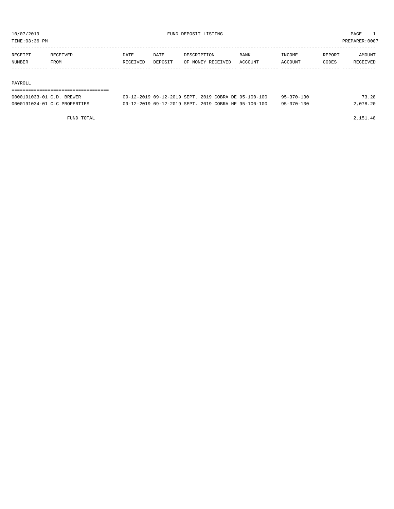TIME:03:36 PM PREPARER:0007

| RECEIPT | <b>RECEIVED</b> | DATE     | DATE    | DESCRIPTION       | <b>BANK</b> | INCOME         | REPORT | AMOUNT   |
|---------|-----------------|----------|---------|-------------------|-------------|----------------|--------|----------|
| NUMBER  | FROM            | RECEIVED | DEPOSIT | OF MONEY RECEIVED | ACCOUNT     | <b>ACCOUNT</b> | CODES  | RECEIVED |
|         |                 |          |         |                   |             |                |        |          |

#### PAYROLL

===================================

| 0000191033-01 C.D. BREWER    | 09-12-2019 09-12-2019 SEPT, 2019 COBRA DE 95-100-100 | $95 - 370 - 130$ | 73.28    |
|------------------------------|------------------------------------------------------|------------------|----------|
| 0000191034-01 CLC PROPERTIES | 09-12-2019 09-12-2019 SEPT, 2019 COBRA HE 95-100-100 | $95 - 370 - 130$ | 2,078.20 |

FUND TOTAL 2,151.48